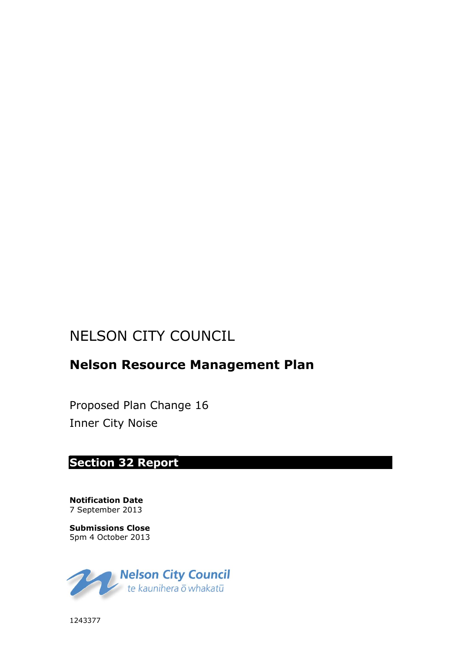# NELSON CITY COUNCIL

## **Nelson Resource Management Plan**

Proposed Plan Change 16 Inner City Noise

### **Section 32 Report**

**Notification Date** 7 September 2013

**Submissions Close** 5pm 4 October 2013



1243377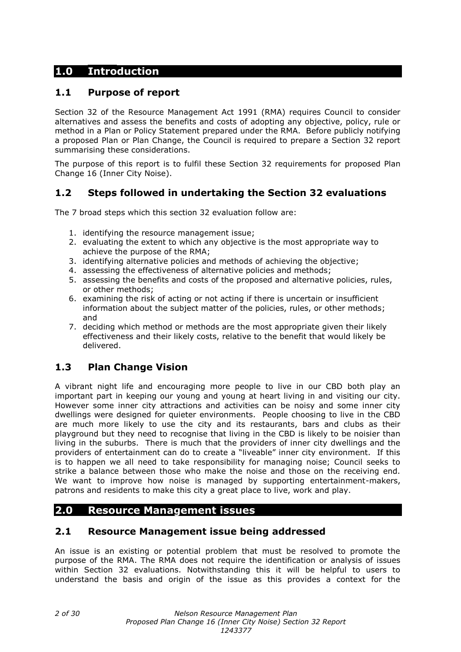### **1.0 Introduction**

### **1.1 Purpose of report**

Section 32 of the Resource Management Act 1991 (RMA) requires Council to consider alternatives and assess the benefits and costs of adopting any objective, policy, rule or method in a Plan or Policy Statement prepared under the RMA. Before publicly notifying a proposed Plan or Plan Change, the Council is required to prepare a Section 32 report summarising these considerations.

The purpose of this report is to fulfil these Section 32 requirements for proposed Plan Change 16 (Inner City Noise).

### **1.2 Steps followed in undertaking the Section 32 evaluations**

The 7 broad steps which this section 32 evaluation follow are:

- 1. identifying the resource management issue;
- 2. evaluating the extent to which any objective is the most appropriate way to achieve the purpose of the RMA;
- 3. identifying alternative policies and methods of achieving the objective;
- 4. assessing the effectiveness of alternative policies and methods;
- 5. assessing the benefits and costs of the proposed and alternative policies, rules, or other methods;
- 6. examining the risk of acting or not acting if there is uncertain or insufficient information about the subject matter of the policies, rules, or other methods; and
- 7. deciding which method or methods are the most appropriate given their likely effectiveness and their likely costs, relative to the benefit that would likely be delivered.

### **1.3 Plan Change Vision**

A vibrant night life and encouraging more people to live in our CBD both play an important part in keeping our young and young at heart living in and visiting our city. However some inner city attractions and activities can be noisy and some inner city dwellings were designed for quieter environments. People choosing to live in the CBD are much more likely to use the city and its restaurants, bars and clubs as their playground but they need to recognise that living in the CBD is likely to be noisier than living in the suburbs. There is much that the providers of inner city dwellings and the providers of entertainment can do to create a "liveable" inner city environment. If this is to happen we all need to take responsibility for managing noise; Council seeks to strike a balance between those who make the noise and those on the receiving end. We want to improve how noise is managed by supporting entertainment-makers, patrons and residents to make this city a great place to live, work and play.

### **2.0 Resource Management issues**

### **2.1 Resource Management issue being addressed**

An issue is an existing or potential problem that must be resolved to promote the purpose of the RMA. The RMA does not require the identification or analysis of issues within Section 32 evaluations. Notwithstanding this it will be helpful to users to understand the basis and origin of the issue as this provides a context for the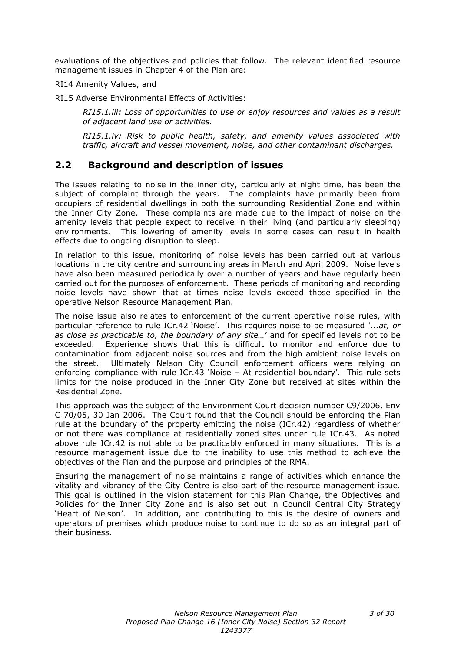evaluations of the objectives and policies that follow. The relevant identified resource management issues in Chapter 4 of the Plan are:

RI14 Amenity Values, and

RI15 Adverse Environmental Effects of Activities:

*RI15.1.iii: Loss of opportunities to use or enjoy resources and values as a result of adjacent land use or activities.*

*RI15.1.iv: Risk to public health, safety, and amenity values associated with traffic, aircraft and vessel movement, noise, and other contaminant discharges.*

### **2.2 Background and description of issues**

The issues relating to noise in the inner city, particularly at night time, has been the subject of complaint through the years. The complaints have primarily been from occupiers of residential dwellings in both the surrounding Residential Zone and within the Inner City Zone. These complaints are made due to the impact of noise on the amenity levels that people expect to receive in their living (and particularly sleeping) environments. This lowering of amenity levels in some cases can result in health effects due to ongoing disruption to sleep.

In relation to this issue, monitoring of noise levels has been carried out at various locations in the city centre and surrounding areas in March and April 2009. Noise levels have also been measured periodically over a number of years and have regularly been carried out for the purposes of enforcement. These periods of monitoring and recording noise levels have shown that at times noise levels exceed those specified in the operative Nelson Resource Management Plan.

The noise issue also relates to enforcement of the current operative noise rules, with particular reference to rule ICr.42 'Noise'. This requires noise to be measured *'...at, or as close as practicable to, the boundary of any site…*' and for specified levels not to be exceeded. Experience shows that this is difficult to monitor and enforce due to contamination from adjacent noise sources and from the high ambient noise levels on the street. Ultimately Nelson City Council enforcement officers were relying on enforcing compliance with rule ICr.43 'Noise – At residential boundary'. This rule sets limits for the noise produced in the Inner City Zone but received at sites within the Residential Zone.

This approach was the subject of the Environment Court decision number C9/2006, Env C 70/05, 30 Jan 2006. The Court found that the Council should be enforcing the Plan rule at the boundary of the property emitting the noise (ICr.42) regardless of whether or not there was compliance at residentially zoned sites under rule ICr.43. As noted above rule ICr.42 is not able to be practicably enforced in many situations. This is a resource management issue due to the inability to use this method to achieve the objectives of the Plan and the purpose and principles of the RMA.

Ensuring the management of noise maintains a range of activities which enhance the vitality and vibrancy of the City Centre is also part of the resource management issue. This goal is outlined in the vision statement for this Plan Change, the Objectives and Policies for the Inner City Zone and is also set out in Council Central City Strategy 'Heart of Nelson'. In addition, and contributing to this is the desire of owners and operators of premises which produce noise to continue to do so as an integral part of their business.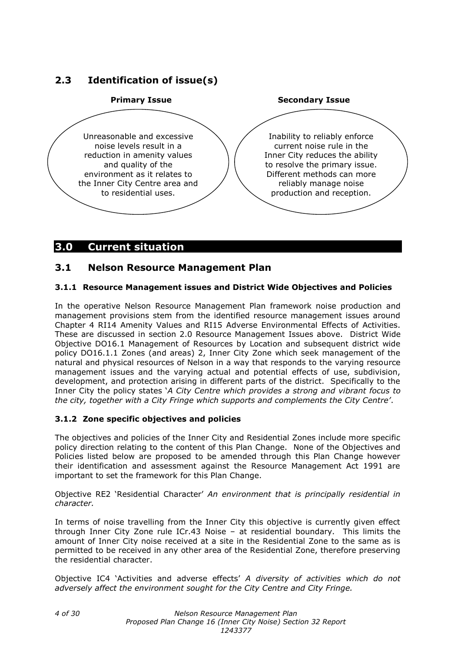### **2.3 Identification of issue(s)**



### **3.0 Current situation**

### **3.1 Nelson Resource Management Plan**

#### **3.1.1 Resource Management issues and District Wide Objectives and Policies**

In the operative Nelson Resource Management Plan framework noise production and management provisions stem from the identified resource management issues around Chapter 4 RI14 Amenity Values and RI15 Adverse Environmental Effects of Activities. These are discussed in section 2.0 Resource Management Issues above. District Wide Objective DO16.1 Management of Resources by Location and subsequent district wide policy DO16.1.1 Zones (and areas) 2, Inner City Zone which seek management of the natural and physical resources of Nelson in a way that responds to the varying resource management issues and the varying actual and potential effects of use, subdivision, development, and protection arising in different parts of the district. Specifically to the Inner City the policy states '*A City Centre which provides a strong and vibrant focus to the city, together with a City Fringe which supports and complements the City Centre'*.

#### **3.1.2 Zone specific objectives and policies**

The objectives and policies of the Inner City and Residential Zones include more specific policy direction relating to the content of this Plan Change. None of the Objectives and Policies listed below are proposed to be amended through this Plan Change however their identification and assessment against the Resource Management Act 1991 are important to set the framework for this Plan Change.

Objective RE2 'Residential Character' *An environment that is principally residential in character.*

In terms of noise travelling from the Inner City this objective is currently given effect through Inner City Zone rule ICr.43 Noise – at residential boundary. This limits the amount of Inner City noise received at a site in the Residential Zone to the same as is permitted to be received in any other area of the Residential Zone, therefore preserving the residential character.

Objective IC4 'Activities and adverse effects' *A diversity of activities which do not adversely affect the environment sought for the City Centre and City Fringe.*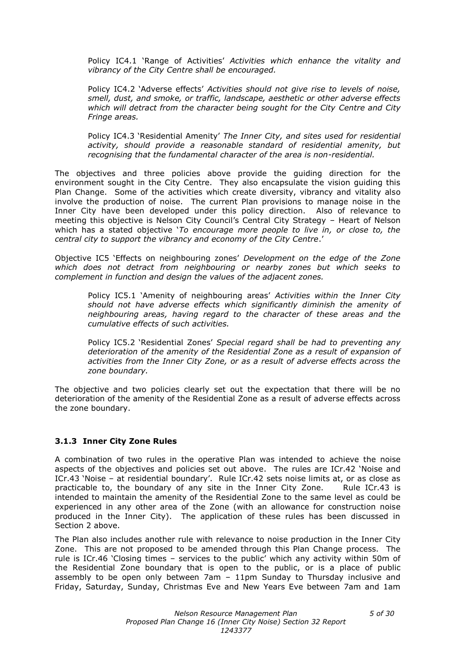Policy IC4.1 'Range of Activities' *Activities which enhance the vitality and vibrancy of the City Centre shall be encouraged.*

Policy IC4.2 'Adverse effects' *Activities should not give rise to levels of noise, smell, dust, and smoke, or traffic, landscape, aesthetic or other adverse effects which will detract from the character being sought for the City Centre and City Fringe areas.*

Policy IC4.3 'Residential Amenity' *The Inner City, and sites used for residential activity, should provide a reasonable standard of residential amenity, but recognising that the fundamental character of the area is non-residential.*

The objectives and three policies above provide the guiding direction for the environment sought in the City Centre. They also encapsulate the vision guiding this Plan Change. Some of the activities which create diversity, vibrancy and vitality also involve the production of noise. The current Plan provisions to manage noise in the Inner City have been developed under this policy direction. Also of relevance to meeting this objective is Nelson City Council's Central City Strategy – Heart of Nelson which has a stated objective '*To encourage more people to live in, or close to, the central city to support the vibrancy and economy of the City Centre*.'

Objective IC5 'Effects on neighbouring zones' *Development on the edge of the Zone which does not detract from neighbouring or nearby zones but which seeks to complement in function and design the values of the adjacent zones.*

Policy IC5.1 'Amenity of neighbouring areas' *Activities within the Inner City should not have adverse effects which significantly diminish the amenity of neighbouring areas, having regard to the character of these areas and the cumulative effects of such activities.*

Policy IC5.2 'Residential Zones' *Special regard shall be had to preventing any deterioration of the amenity of the Residential Zone as a result of expansion of activities from the Inner City Zone, or as a result of adverse effects across the zone boundary.*

The objective and two policies clearly set out the expectation that there will be no deterioration of the amenity of the Residential Zone as a result of adverse effects across the zone boundary.

#### **3.1.3 Inner City Zone Rules**

A combination of two rules in the operative Plan was intended to achieve the noise aspects of the objectives and policies set out above. The rules are ICr.42 'Noise and ICr.43 'Noise – at residential boundary'. Rule ICr.42 sets noise limits at, or as close as practicable to, the boundary of any site in the Inner City Zone. Rule ICr.43 is intended to maintain the amenity of the Residential Zone to the same level as could be experienced in any other area of the Zone (with an allowance for construction noise produced in the Inner City). The application of these rules has been discussed in Section 2 above.

The Plan also includes another rule with relevance to noise production in the Inner City Zone. This are not proposed to be amended through this Plan Change process. The rule is ICr.46 'Closing times – services to the public' which any activity within 50m of the Residential Zone boundary that is open to the public, or is a place of public assembly to be open only between 7am – 11pm Sunday to Thursday inclusive and Friday, Saturday, Sunday, Christmas Eve and New Years Eve between 7am and 1am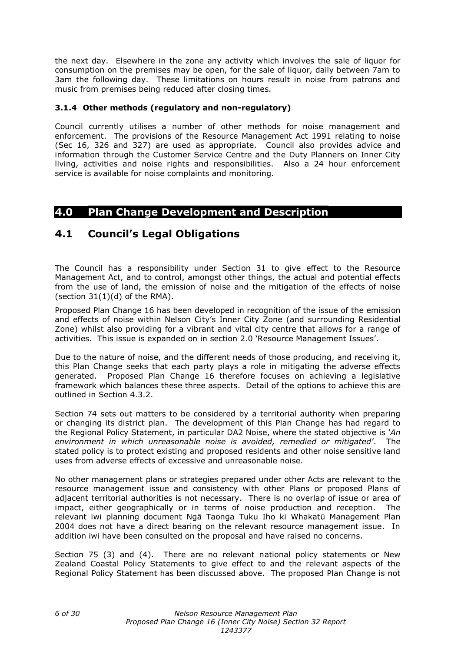the next day. Elsewhere in the zone any activity which involves the sale of liquor for consumption on the premises may be open, for the sale of liquor, daily between 7am to 3am the following day. These limitations on hours result in noise from patrons and music from premises being reduced after closing times.

#### **3.1.4 Other methods (regulatory and non-regulatory)**

Council currently utilises a number of other methods for noise management and enforcement. The provisions of the Resource Management Act 1991 relating to noise (Sec 16, 326 and 327) are used as appropriate. Council also provides advice and information through the Customer Service Centre and the Duty Planners on Inner City living, activities and noise rights and responsibilities. Also a 24 hour enforcement service is available for noise complaints and monitoring.

### **4.0 Plan Change Development and Description**

### **4.1 Council's Legal Obligations**

The Council has a responsibility under Section 31 to give effect to the Resource Management Act, and to control, amongst other things, the actual and potential effects from the use of land, the emission of noise and the mitigation of the effects of noise (section  $31(1)(d)$  of the RMA).

Proposed Plan Change 16 has been developed in recognition of the issue of the emission and effects of noise within Nelson City's Inner City Zone (and surrounding Residential Zone) whilst also providing for a vibrant and vital city centre that allows for a range of activities. This issue is expanded on in section 2.0 'Resource Management Issues'.

Due to the nature of noise, and the different needs of those producing, and receiving it, this Plan Change seeks that each party plays a role in mitigating the adverse effects generated. Proposed Plan Change 16 therefore focuses on achieving a legislative framework which balances these three aspects. Detail of the options to achieve this are outlined in Section 4.3.2.

Section 74 sets out matters to be considered by a territorial authority when preparing or changing its district plan. The development of this Plan Change has had regard to the Regional Policy Statement, in particular DA2 Noise, where the stated objective is *'An environment in which unreasonable noise is avoided, remedied or mitigated'*. The stated policy is to protect existing and proposed residents and other noise sensitive land uses from adverse effects of excessive and unreasonable noise.

No other management plans or strategies prepared under other Acts are relevant to the resource management issue and consistency with other Plans or proposed Plans of adjacent territorial authorities is not necessary. There is no overlap of issue or area of impact, either geographically or in terms of noise production and reception. The relevant iwi planning document Ngā Taonga Tuku Iho ki Whakatū Management Plan 2004 does not have a direct bearing on the relevant resource management issue. In addition iwi have been consulted on the proposal and have raised no concerns.

Section 75 (3) and (4). There are no relevant national policy statements or New Zealand Coastal Policy Statements to give effect to and the relevant aspects of the Regional Policy Statement has been discussed above. The proposed Plan Change is not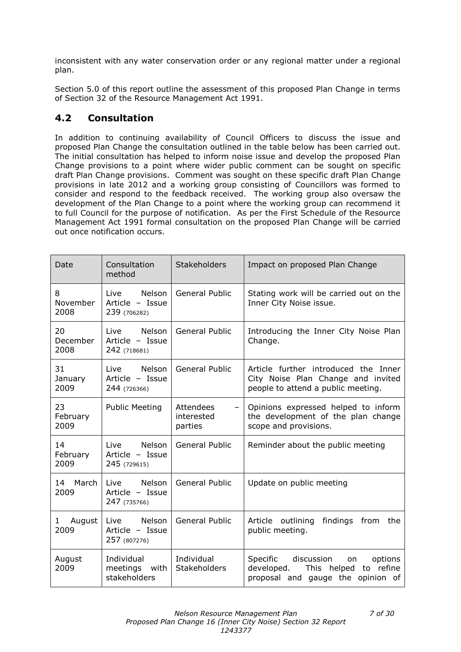inconsistent with any water conservation order or any regional matter under a regional plan.

Section 5.0 of this report outline the assessment of this proposed Plan Change in terms of Section 32 of the Resource Management Act 1991.

### **4.2 Consultation**

In addition to continuing availability of Council Officers to discuss the issue and proposed Plan Change the consultation outlined in the table below has been carried out. The initial consultation has helped to inform noise issue and develop the proposed Plan Change provisions to a point where wider public comment can be sought on specific draft Plan Change provisions. Comment was sought on these specific draft Plan Change provisions in late 2012 and a working group consisting of Councillors was formed to consider and respond to the feedback received. The working group also oversaw the development of the Plan Change to a point where the working group can recommend it to full Council for the purpose of notification. As per the First Schedule of the Resource Management Act 1991 formal consultation on the proposed Plan Change will be carried out once notification occurs.

| Date                   | Consultation<br>method                            | <b>Stakeholders</b>                | Impact on proposed Plan Change                                                                                         |  |
|------------------------|---------------------------------------------------|------------------------------------|------------------------------------------------------------------------------------------------------------------------|--|
| 8<br>November<br>2008  | Nelson<br>Live<br>Article - Issue<br>239 (706282) | <b>General Public</b>              | Stating work will be carried out on the<br>Inner City Noise issue.                                                     |  |
| 20<br>December<br>2008 | Nelson<br>Live<br>Article - Issue<br>242 (718681) | General Public                     | Introducing the Inner City Noise Plan<br>Change.                                                                       |  |
| 31<br>January<br>2009  | Nelson<br>Live<br>Article - Issue<br>244 (726366) | <b>General Public</b>              | Article further introduced the Inner<br>City Noise Plan Change and invited<br>people to attend a public meeting.       |  |
| 23<br>February<br>2009 | <b>Public Meeting</b>                             | Attendees<br>interested<br>parties | Opinions expressed helped to inform<br>the development of the plan change<br>scope and provisions.                     |  |
| 14<br>February<br>2009 | Nelson<br>Live<br>Article - Issue<br>245 (729615) | General Public                     | Reminder about the public meeting                                                                                      |  |
| March<br>14<br>2009    | Nelson<br>Live<br>Article - Issue<br>247 (735766) | General Public                     | Update on public meeting                                                                                               |  |
| August<br>1<br>2009    | Nelson<br>Live<br>Article - Issue<br>257 (807276) | <b>General Public</b>              | Article outlining<br>findings<br>from<br>the<br>public meeting.                                                        |  |
| August<br>2009         | Individual<br>meetings<br>with<br>stakeholders    | Individual<br>Stakeholders         | discussion<br>Specific<br>on<br>options<br>developed.<br>to refine<br>This helped<br>proposal and gauge the opinion of |  |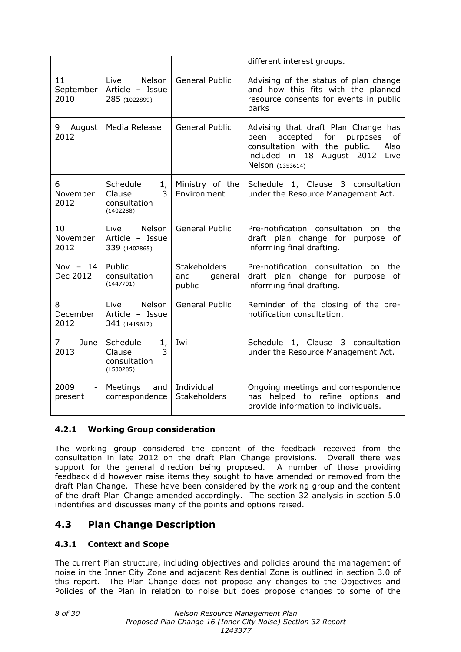|                                |                                                            |                                                 | different interest groups.                                                                                                                                                             |
|--------------------------------|------------------------------------------------------------|-------------------------------------------------|----------------------------------------------------------------------------------------------------------------------------------------------------------------------------------------|
| 11<br>September  <br>2010      | Nelson<br>Live<br>Article - Issue<br>285 (1022899)         | General Public                                  | Advising of the status of plan change<br>and how this fits with the planned<br>resource consents for events in public<br>parks                                                         |
| 9<br>August  <br>2012          | Media Release                                              | <b>General Public</b>                           | Advising that draft Plan Change has<br>been<br>accepted<br>for<br>purposes<br>οf<br>consultation with the public.<br>Also<br>included in<br>18 August 2012<br>Live<br>Nelson (1353614) |
| 6<br>November<br>2012          | Schedule<br>1,<br>Clause<br>3<br>consultation<br>(1402288) | Ministry of the<br>Environment                  | Schedule 1, Clause 3 consultation<br>under the Resource Management Act.                                                                                                                |
| 10<br>November<br>2012         | Nelson<br>Live<br>Article - Issue<br>339 (1402865)         | <b>General Public</b>                           | Pre-notification consultation on<br>the<br>draft plan change for purpose<br>of<br>informing final drafting.                                                                            |
| Nov $-14$<br>Dec 2012          | Public<br>consultation<br>(1447701)                        | <b>Stakeholders</b><br>and<br>general<br>public | Pre-notification consultation on<br>the<br>draft plan change for purpose<br>οf<br>informing final drafting.                                                                            |
| 8<br>December<br>2012          | Live<br>Nelson<br>Article - Issue<br>341 (1419617)         | <b>General Public</b>                           | Reminder of the closing of the pre-<br>notification consultation.                                                                                                                      |
| 7 <sup>7</sup><br>June<br>2013 | Schedule<br>1,<br>3<br>Clause<br>consultation<br>(1530285) | Iwi                                             | Schedule 1, Clause 3 consultation<br>under the Resource Management Act.                                                                                                                |
| 2009<br>present                | Meetings<br>and<br>correspondence                          | Individual<br>Stakeholders                      | Ongoing meetings and correspondence<br>helped to refine options<br>has<br>and<br>provide information to individuals.                                                                   |

### **4.2.1 Working Group consideration**

The working group considered the content of the feedback received from the consultation in late 2012 on the draft Plan Change provisions. Overall there was support for the general direction being proposed. A number of those providing feedback did however raise items they sought to have amended or removed from the draft Plan Change. These have been considered by the working group and the content of the draft Plan Change amended accordingly. The section 32 analysis in section 5.0 indentifies and discusses many of the points and options raised.

### **4.3 Plan Change Description**

### **4.3.1 Context and Scope**

The current Plan structure, including objectives and policies around the management of noise in the Inner City Zone and adjacent Residential Zone is outlined in section 3.0 of this report. The Plan Change does not propose any changes to the Objectives and Policies of the Plan in relation to noise but does propose changes to some of the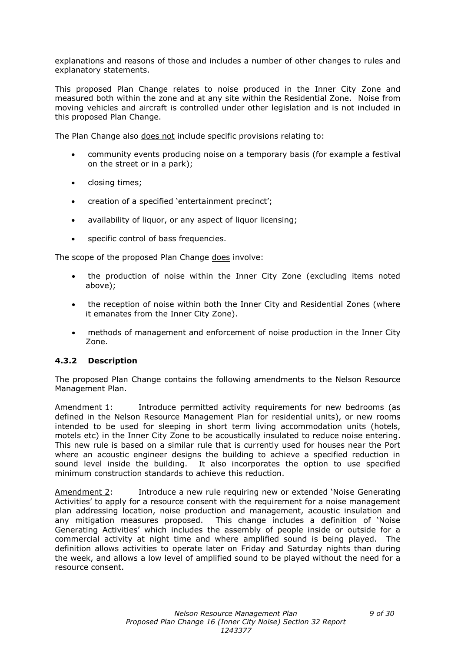explanations and reasons of those and includes a number of other changes to rules and explanatory statements.

This proposed Plan Change relates to noise produced in the Inner City Zone and measured both within the zone and at any site within the Residential Zone. Noise from moving vehicles and aircraft is controlled under other legislation and is not included in this proposed Plan Change.

The Plan Change also does not include specific provisions relating to:

- community events producing noise on a temporary basis (for example a festival on the street or in a park);
- closing times;
- creation of a specified 'entertainment precinct';
- availability of liquor, or any aspect of liquor licensing;
- specific control of bass frequencies.

The scope of the proposed Plan Change does involve:

- the production of noise within the Inner City Zone (excluding items noted above);
- the reception of noise within both the Inner City and Residential Zones (where it emanates from the Inner City Zone).
- methods of management and enforcement of noise production in the Inner City Zone.

#### **4.3.2 Description**

The proposed Plan Change contains the following amendments to the Nelson Resource Management Plan.

Amendment 1: Introduce permitted activity requirements for new bedrooms (as defined in the Nelson Resource Management Plan for residential units), or new rooms intended to be used for sleeping in short term living accommodation units (hotels, motels etc) in the Inner City Zone to be acoustically insulated to reduce noise entering. This new rule is based on a similar rule that is currently used for houses near the Port where an acoustic engineer designs the building to achieve a specified reduction in sound level inside the building. It also incorporates the option to use specified minimum construction standards to achieve this reduction.

Amendment 2: Introduce a new rule requiring new or extended 'Noise Generating Activities' to apply for a resource consent with the requirement for a noise management plan addressing location, noise production and management, acoustic insulation and any mitigation measures proposed. This change includes a definition of 'Noise Generating Activities' which includes the assembly of people inside or outside for a commercial activity at night time and where amplified sound is being played. The definition allows activities to operate later on Friday and Saturday nights than during the week, and allows a low level of amplified sound to be played without the need for a resource consent.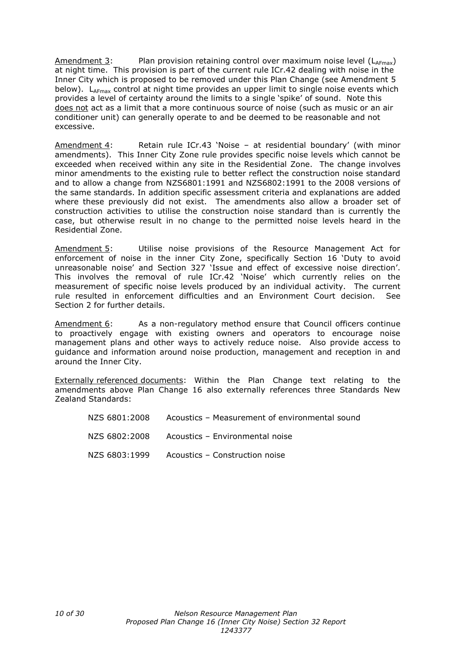Amendment 3: Plan provision retaining control over maximum noise level  $(L_{AFmax})$ at night time. This provision is part of the current rule ICr.42 dealing with noise in the Inner City which is proposed to be removed under this Plan Change (see Amendment 5 below).  $L_{A_{\text{Fmax}}}$  control at night time provides an upper limit to single noise events which provides a level of certainty around the limits to a single 'spike' of sound. Note this does not act as a limit that a more continuous source of noise (such as music or an air conditioner unit) can generally operate to and be deemed to be reasonable and not excessive.

Amendment 4: Retain rule ICr.43 'Noise – at residential boundary' (with minor amendments). This Inner City Zone rule provides specific noise levels which cannot be exceeded when received within any site in the Residential Zone. The change involves minor amendments to the existing rule to better reflect the construction noise standard and to allow a change from NZS6801:1991 and NZS6802:1991 to the 2008 versions of the same standards. In addition specific assessment criteria and explanations are added where these previously did not exist. The amendments also allow a broader set of construction activities to utilise the construction noise standard than is currently the case, but otherwise result in no change to the permitted noise levels heard in the Residential Zone.

Amendment 5: Utilise noise provisions of the Resource Management Act for enforcement of noise in the inner City Zone, specifically Section 16 'Duty to avoid unreasonable noise' and Section 327 'Issue and effect of excessive noise direction'. This involves the removal of rule ICr.42 'Noise' which currently relies on the measurement of specific noise levels produced by an individual activity. The current rule resulted in enforcement difficulties and an Environment Court decision. See Section 2 for further details.

Amendment 6: As a non-regulatory method ensure that Council officers continue to proactively engage with existing owners and operators to encourage noise management plans and other ways to actively reduce noise. Also provide access to guidance and information around noise production, management and reception in and around the Inner City.

Externally referenced documents: Within the Plan Change text relating to the amendments above Plan Change 16 also externally references three Standards New Zealand Standards:

| NZS 6801:2008 | Acoustics – Measurement of environmental sound |
|---------------|------------------------------------------------|
| NZS 6802:2008 | Acoustics - Environmental noise                |
| NZS 6803:1999 | Acoustics – Construction noise                 |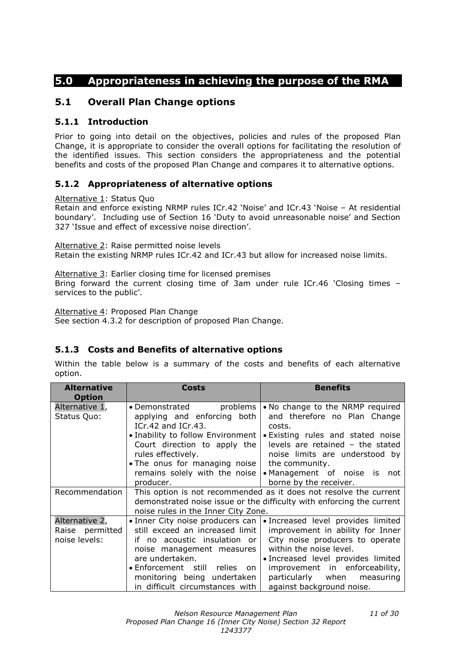### **5.0 Appropriateness in achieving the purpose of the RMA**

### **5.1 Overall Plan Change options**

### **5.1.1 Introduction**

Prior to going into detail on the objectives, policies and rules of the proposed Plan Change, it is appropriate to consider the overall options for facilitating the resolution of the identified issues. This section considers the appropriateness and the potential benefits and costs of the proposed Plan Change and compares it to alternative options.

### **5.1.2 Appropriateness of alternative options**

Alternative 1: Status Quo

Retain and enforce existing NRMP rules ICr.42 'Noise' and ICr.43 'Noise – At residential boundary'. Including use of Section 16 'Duty to avoid unreasonable noise' and Section 327 'Issue and effect of excessive noise direction'.

Alternative 2: Raise permitted noise levels Retain the existing NRMP rules ICr.42 and ICr.43 but allow for increased noise limits.

Alternative 3: Earlier closing time for licensed premises Bring forward the current closing time of 3am under rule ICr.46 'Closing times – services to the public'.

Alternative 4: Proposed Plan Change

See section 4.3.2 for description of proposed Plan Change.

### **5.1.3 Costs and Benefits of alternative options**

Within the table below is a summary of the costs and benefits of each alternative option.

| <b>Alternative</b>                                                                                                                                                                                                                                                                                 | <b>Costs</b>                                                                                                                                                                                                                                              | <b>Benefits</b>                                                                                                                                                                                                                                                          |  |
|----------------------------------------------------------------------------------------------------------------------------------------------------------------------------------------------------------------------------------------------------------------------------------------------------|-----------------------------------------------------------------------------------------------------------------------------------------------------------------------------------------------------------------------------------------------------------|--------------------------------------------------------------------------------------------------------------------------------------------------------------------------------------------------------------------------------------------------------------------------|--|
| <b>Option</b>                                                                                                                                                                                                                                                                                      |                                                                                                                                                                                                                                                           |                                                                                                                                                                                                                                                                          |  |
| Alternative 1,<br>problems<br>$\bullet$ Demonstrated<br>Status Quo:<br>applying and enforcing both<br>ICr.42 and ICr.43.<br>• Inability to follow Environment<br>Court direction to apply the<br>rules effectively.<br>• The onus for managing noise<br>remains solely with the noise<br>producer. |                                                                                                                                                                                                                                                           | . No change to the NRMP required<br>and therefore no Plan Change<br>costs.<br>• Existing rules and stated noise<br>levels are retained - the stated<br>noise limits are understood by<br>the community.<br>• Management of noise is not<br>borne by the receiver.        |  |
| Recommendation                                                                                                                                                                                                                                                                                     | This option is not recommended as it does not resolve the current<br>demonstrated noise issue or the difficulty with enforcing the current<br>noise rules in the Inner City Zone.                                                                         |                                                                                                                                                                                                                                                                          |  |
| Alternative 2,<br>Raise permitted<br>noise levels:                                                                                                                                                                                                                                                 | • Inner City noise producers can<br>still exceed an increased limit<br>if no acoustic insulation or<br>noise management measures<br>are undertaken.<br>• Enforcement still relies<br>on<br>monitoring being undertaken<br>in difficult circumstances with | · Increased level provides limited<br>improvement in ability for Inner<br>City noise producers to operate<br>within the noise level.<br>· Increased level provides limited<br>improvement in enforceability,<br>particularly when measuring<br>against background noise. |  |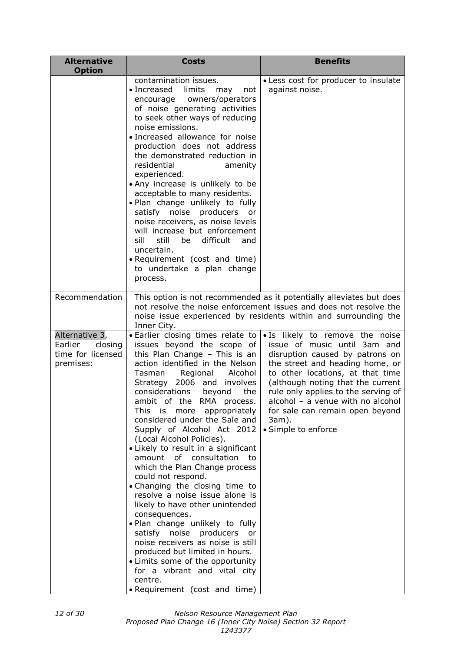| <b>Alternative</b><br><b>Option</b>                                    | <b>Costs</b>                                                                                                                                                                                                                                                                                                                                                                                                                                                                                                                                                                                                                                                                                                                                                                                                                                                                                                    | <b>Benefits</b>                                                                                                                                                                                                                                                                                                                                               |  |
|------------------------------------------------------------------------|-----------------------------------------------------------------------------------------------------------------------------------------------------------------------------------------------------------------------------------------------------------------------------------------------------------------------------------------------------------------------------------------------------------------------------------------------------------------------------------------------------------------------------------------------------------------------------------------------------------------------------------------------------------------------------------------------------------------------------------------------------------------------------------------------------------------------------------------------------------------------------------------------------------------|---------------------------------------------------------------------------------------------------------------------------------------------------------------------------------------------------------------------------------------------------------------------------------------------------------------------------------------------------------------|--|
|                                                                        | contamination issues.<br>$\bullet$ Increased<br>limits<br>not<br>may<br>owners/operators<br>encourage<br>of noise generating activities<br>to seek other ways of reducing<br>noise emissions.<br>· Increased allowance for noise<br>production does not address<br>the demonstrated reduction in<br>residential<br>amenity<br>experienced.<br>• Any increase is unlikely to be<br>acceptable to many residents.<br>. Plan change unlikely to fully<br>satisfy noise producers<br>or<br>noise receivers, as noise levels<br>will increase but enforcement<br>difficult<br>sill<br>still be<br>and<br>uncertain.<br>• Requirement (cost and time)<br>to undertake a plan change<br>process.                                                                                                                                                                                                                       | • Less cost for producer to insulate<br>against noise.                                                                                                                                                                                                                                                                                                        |  |
| Recommendation                                                         | Inner City.                                                                                                                                                                                                                                                                                                                                                                                                                                                                                                                                                                                                                                                                                                                                                                                                                                                                                                     | This option is not recommended as it potentially alleviates but does<br>not resolve the noise enforcement issues and does not resolve the<br>noise issue experienced by residents within and surrounding the                                                                                                                                                  |  |
| Alternative 3,<br>closing<br>Earlier<br>time for licensed<br>premises: | • Earlier closing times relate to<br>issues beyond the scope of<br>this Plan Change $-$ This is an<br>action identified in the Nelson<br>Regional<br>Alcohol<br>Tasman<br>Strategy 2006 and involves<br>considerations<br>beyond<br>the<br>ambit of the RMA process.<br>This is more appropriately<br>considered under the Sale and<br>Supply of Alcohol Act 2012<br>(Local Alcohol Policies).<br>· Likely to result in a significant<br>amount of consultation<br>to<br>which the Plan Change process<br>could not respond.<br>• Changing the closing time to<br>resolve a noise issue alone is<br>likely to have other unintended<br>consequences.<br>. Plan change unlikely to fully<br>satisfy noise producers<br>or<br>noise receivers as noise is still<br>produced but limited in hours.<br>• Limits some of the opportunity<br>for a vibrant and vital city<br>centre.<br>• Requirement (cost and time) | . Is likely to remove the noise<br>issue of music until 3am and<br>disruption caused by patrons on<br>the street and heading home, or<br>to other locations, at that time<br>(although noting that the current<br>rule only applies to the serving of<br>alcohol - a venue with no alcohol<br>for sale can remain open beyond<br>3am).<br>• Simple to enforce |  |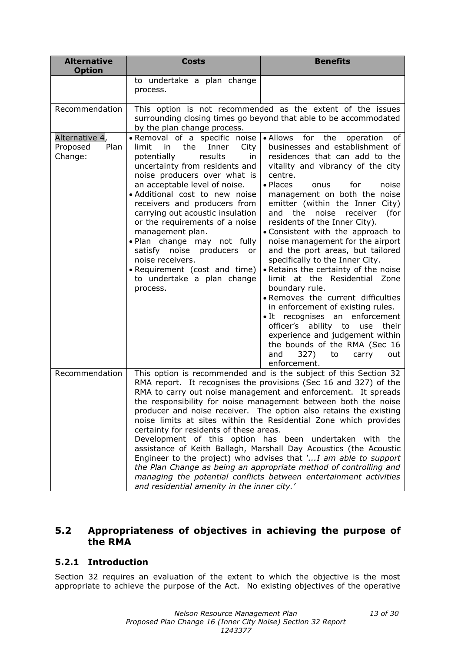| <b>Alternative</b><br><b>Option</b>           | <b>Costs</b>                                                                                                                                                                                                                                                                                                                                                                                                                                                                                                                                                                                                                                                                                                                                                                                                                                             | <b>Benefits</b>                                                                                                                                                                                                                                                                                                                                                                                                                                                                                                                                                                                                                                                                                                                                                                                                                                                         |  |
|-----------------------------------------------|----------------------------------------------------------------------------------------------------------------------------------------------------------------------------------------------------------------------------------------------------------------------------------------------------------------------------------------------------------------------------------------------------------------------------------------------------------------------------------------------------------------------------------------------------------------------------------------------------------------------------------------------------------------------------------------------------------------------------------------------------------------------------------------------------------------------------------------------------------|-------------------------------------------------------------------------------------------------------------------------------------------------------------------------------------------------------------------------------------------------------------------------------------------------------------------------------------------------------------------------------------------------------------------------------------------------------------------------------------------------------------------------------------------------------------------------------------------------------------------------------------------------------------------------------------------------------------------------------------------------------------------------------------------------------------------------------------------------------------------------|--|
|                                               | to undertake a plan change<br>process.                                                                                                                                                                                                                                                                                                                                                                                                                                                                                                                                                                                                                                                                                                                                                                                                                   |                                                                                                                                                                                                                                                                                                                                                                                                                                                                                                                                                                                                                                                                                                                                                                                                                                                                         |  |
| Recommendation                                | by the plan change process.                                                                                                                                                                                                                                                                                                                                                                                                                                                                                                                                                                                                                                                                                                                                                                                                                              | This option is not recommended as the extent of the issues<br>surrounding closing times go beyond that able to be accommodated                                                                                                                                                                                                                                                                                                                                                                                                                                                                                                                                                                                                                                                                                                                                          |  |
| Alternative 4,<br>Plan<br>Proposed<br>Change: | • Removal of a specific noise<br>limit<br>the<br>Inner<br>City<br>in.<br>potentially<br>results<br>in<br>uncertainty from residents and<br>noise producers over what is<br>an acceptable level of noise.<br>· Additional cost to new noise<br>receivers and producers from<br>carrying out acoustic insulation<br>or the requirements of a noise<br>management plan.<br>. Plan change may not fully<br>satisfy noise producers or<br>noise receivers.<br>• Requirement (cost and time)<br>to undertake a plan change<br>process.                                                                                                                                                                                                                                                                                                                         | • Allows<br>for<br>the<br>operation<br>0f<br>businesses and establishment of<br>residences that can add to the<br>vitality and vibrancy of the city<br>centre.<br>• Places<br>for<br>noise<br>onus<br>management on both the noise<br>emitter (within the Inner City)<br>(for<br>the<br>noise<br>receiver<br>and<br>residents of the Inner City).<br>• Consistent with the approach to<br>noise management for the airport<br>and the port areas, but tailored<br>specifically to the Inner City.<br>• Retains the certainty of the noise<br>limit at the Residential Zone<br>boundary rule.<br>· Removes the current difficulties<br>in enforcement of existing rules.<br>• It recognises an enforcement<br>officer's ability to use<br>their<br>experience and judgement within<br>the bounds of the RMA (Sec 16<br>and<br>327)<br>to<br>carry<br>out<br>enforcement. |  |
| Recommendation                                | This option is recommended and is the subject of this Section 32<br>RMA report. It recognises the provisions (Sec 16 and 327) of the<br>RMA to carry out noise management and enforcement. It spreads<br>the responsibility for noise management between both the noise<br>producer and noise receiver. The option also retains the existing<br>noise limits at sites within the Residential Zone which provides<br>certainty for residents of these areas.<br>Development of this option has been undertaken with the<br>assistance of Keith Ballagh, Marshall Day Acoustics (the Acoustic<br>Engineer to the project) who advises that ' I am able to support<br>the Plan Change as being an appropriate method of controlling and<br>managing the potential conflicts between entertainment activities<br>and residential amenity in the inner city.' |                                                                                                                                                                                                                                                                                                                                                                                                                                                                                                                                                                                                                                                                                                                                                                                                                                                                         |  |

### **5.2 Appropriateness of objectives in achieving the purpose of the RMA**

### **5.2.1 Introduction**

Section 32 requires an evaluation of the extent to which the objective is the most appropriate to achieve the purpose of the Act. No existing objectives of the operative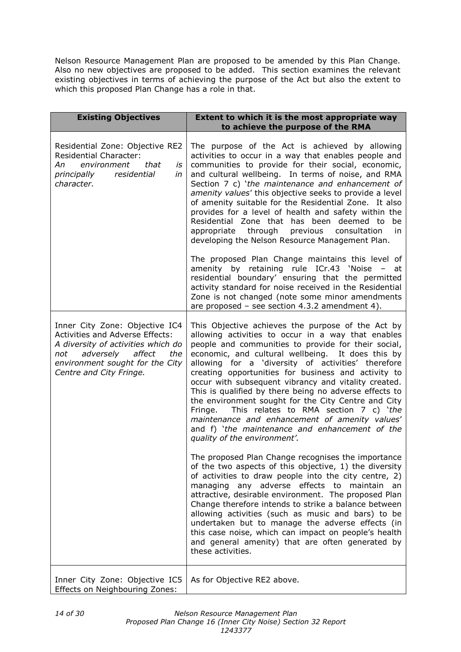Nelson Resource Management Plan are proposed to be amended by this Plan Change. Also no new objectives are proposed to be added. This section examines the relevant existing objectives in terms of achieving the purpose of the Act but also the extent to which this proposed Plan Change has a role in that.

| <b>Existing Objectives</b>                                                                                                                                                                                        | Extent to which it is the most appropriate way<br>to achieve the purpose of the RMA                                                                                                                                                                                                                                                                                                                                                                                                                                                                                                                                                                                                               |
|-------------------------------------------------------------------------------------------------------------------------------------------------------------------------------------------------------------------|---------------------------------------------------------------------------------------------------------------------------------------------------------------------------------------------------------------------------------------------------------------------------------------------------------------------------------------------------------------------------------------------------------------------------------------------------------------------------------------------------------------------------------------------------------------------------------------------------------------------------------------------------------------------------------------------------|
| Residential Zone: Objective RE2<br><b>Residential Character:</b><br>Аn<br>environment<br>that<br>is<br>principally<br>residential<br>in<br>character.                                                             | The purpose of the Act is achieved by allowing<br>activities to occur in a way that enables people and<br>communities to provide for their social, economic,<br>and cultural wellbeing. In terms of noise, and RMA<br>Section 7 c) 'the maintenance and enhancement of<br>amenity values' this objective seeks to provide a level<br>of amenity suitable for the Residential Zone. It also<br>provides for a level of health and safety within the<br>Residential Zone that has been deemed to<br>be<br>appropriate through previous<br>consultation<br>in<br>developing the Nelson Resource Management Plan.                                                                                     |
|                                                                                                                                                                                                                   | The proposed Plan Change maintains this level of<br>amenity by retaining rule ICr.43 'Noise - at<br>residential boundary' ensuring that the permitted<br>activity standard for noise received in the Residential<br>Zone is not changed (note some minor amendments<br>are proposed - see section 4.3.2 amendment 4).                                                                                                                                                                                                                                                                                                                                                                             |
| Inner City Zone: Objective IC4<br><b>Activities and Adverse Effects:</b><br>A diversity of activities which do<br>adversely<br>affect<br>the<br>not<br>environment sought for the City<br>Centre and City Fringe. | This Objective achieves the purpose of the Act by<br>allowing activities to occur in a way that enables<br>people and communities to provide for their social,<br>economic, and cultural wellbeing. It does this by<br>allowing for a 'diversity of activities' therefore<br>creating opportunities for business and activity to<br>occur with subsequent vibrancy and vitality created.<br>This is qualified by there being no adverse effects to<br>the environment sought for the City Centre and City<br>This relates to RMA section 7 c) 'the<br>Fringe.<br>maintenance and enhancement of amenity values'<br>and f) 'the maintenance and enhancement of the<br>quality of the environment'. |
|                                                                                                                                                                                                                   | The proposed Plan Change recognises the importance<br>of the two aspects of this objective, 1) the diversity<br>of activities to draw people into the city centre, 2)<br>managing any adverse effects to maintain<br>an<br>attractive, desirable environment. The proposed Plan<br>Change therefore intends to strike a balance between<br>allowing activities (such as music and bars) to be<br>undertaken but to manage the adverse effects (in<br>this case noise, which can impact on people's health<br>and general amenity) that are often generated by<br>these activities.                                                                                                                |
| Inner City Zone: Objective IC5<br>Effects on Neighbouring Zones:                                                                                                                                                  | As for Objective RE2 above.                                                                                                                                                                                                                                                                                                                                                                                                                                                                                                                                                                                                                                                                       |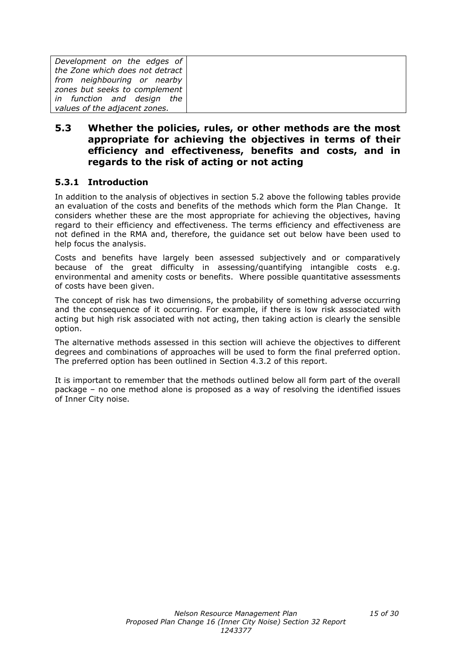| Development on the edges of     |  |
|---------------------------------|--|
| the Zone which does not detract |  |
| from neighbouring or nearby     |  |
| zones but seeks to complement   |  |
| in function and design the      |  |
| values of the adjacent zones.   |  |

### **5.3 Whether the policies, rules, or other methods are the most appropriate for achieving the objectives in terms of their efficiency and effectiveness, benefits and costs, and in regards to the risk of acting or not acting**

### **5.3.1 Introduction**

In addition to the analysis of objectives in section 5.2 above the following tables provide an evaluation of the costs and benefits of the methods which form the Plan Change. It considers whether these are the most appropriate for achieving the objectives, having regard to their efficiency and effectiveness. The terms efficiency and effectiveness are not defined in the RMA and, therefore, the guidance set out below have been used to help focus the analysis.

Costs and benefits have largely been assessed subjectively and or comparatively because of the great difficulty in assessing/quantifying intangible costs e.g. environmental and amenity costs or benefits. Where possible quantitative assessments of costs have been given.

The concept of risk has two dimensions, the probability of something adverse occurring and the consequence of it occurring. For example, if there is low risk associated with acting but high risk associated with not acting, then taking action is clearly the sensible option.

The alternative methods assessed in this section will achieve the objectives to different degrees and combinations of approaches will be used to form the final preferred option. The preferred option has been outlined in Section 4.3.2 of this report.

It is important to remember that the methods outlined below all form part of the overall package – no one method alone is proposed as a way of resolving the identified issues of Inner City noise.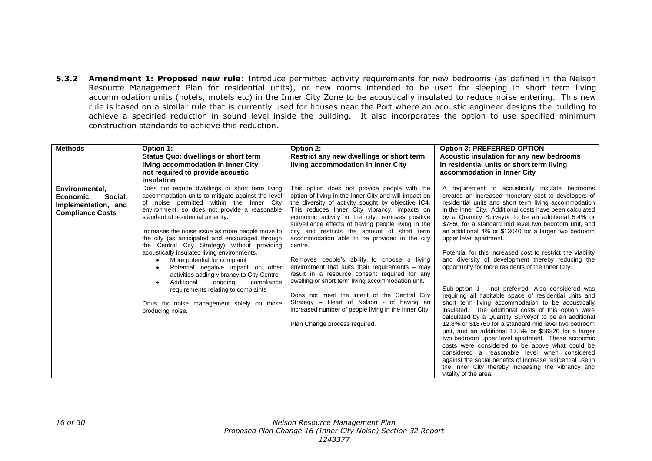**5.3.2 Amendment 1: Proposed new rule**: Introduce permitted activity requirements for new bedrooms (as defined in the Nelson Resource Management Plan for residential units), or new rooms intended to be used for sleeping in short term living accommodation units (hotels, motels etc) in the Inner City Zone to be acoustically insulated to reduce noise entering. This new rule is based on a similar rule that is currently used for houses near the Port where an acoustic engineer designs the building to achieve a specified reduction in sound level inside the building. It also incorporates the option to use specified minimum construction standards to achieve this reduction.

| <b>Methods</b>                                                                           | Option 1:<br><b>Status Quo: dwellings or short term</b><br>living accommodation in Inner City<br>not required to provide acoustic<br>insulation                                                                                                                                                                                                                                                                                                                                                                                                                                                                                                                                                               | Option 2:<br>Restrict any new dwellings or short term<br>living accommodation in Inner City                                                                                                                                                                                                                                                                                                                                                                                                                                                                                                                                                                                                                                                                                                                                    | <b>Option 3: PREFERRED OPTION</b><br>Acoustic insulation for any new bedrooms<br>in residential units or short term living<br>accommodation in Inner City                                                                                                                                                                                                                                                                                                                                                                                                                                                                                                                                                                                                                                                                                                                                                                                                                                                                                                                                                                                                                                                                                                                                                          |
|------------------------------------------------------------------------------------------|---------------------------------------------------------------------------------------------------------------------------------------------------------------------------------------------------------------------------------------------------------------------------------------------------------------------------------------------------------------------------------------------------------------------------------------------------------------------------------------------------------------------------------------------------------------------------------------------------------------------------------------------------------------------------------------------------------------|--------------------------------------------------------------------------------------------------------------------------------------------------------------------------------------------------------------------------------------------------------------------------------------------------------------------------------------------------------------------------------------------------------------------------------------------------------------------------------------------------------------------------------------------------------------------------------------------------------------------------------------------------------------------------------------------------------------------------------------------------------------------------------------------------------------------------------|--------------------------------------------------------------------------------------------------------------------------------------------------------------------------------------------------------------------------------------------------------------------------------------------------------------------------------------------------------------------------------------------------------------------------------------------------------------------------------------------------------------------------------------------------------------------------------------------------------------------------------------------------------------------------------------------------------------------------------------------------------------------------------------------------------------------------------------------------------------------------------------------------------------------------------------------------------------------------------------------------------------------------------------------------------------------------------------------------------------------------------------------------------------------------------------------------------------------------------------------------------------------------------------------------------------------|
| Environmental,<br>Social,<br>Economic,<br>Implementation, and<br><b>Compliance Costs</b> | Does not require dwellings or short term living<br>accommodation units to mitigate against the level<br>of noise permitted within the Inner City<br>environment, so does not provide a reasonable<br>standard of residential amenity.<br>Increases the noise issue as more people move to<br>the city (as anticipated and encouraged through<br>the Central City Strategy) without providing<br>acoustically insulated living environments.<br>More potential for complaint<br>Potential negative impact on other<br>activities adding vibrancy to City Centre<br>Additional<br>ongoing<br>compliance<br>requirements relating to complaints<br>Onus for noise management solely on those<br>producing noise. | This option does not provide people with the<br>option of living in the Inner City and will impact on<br>the diversity of activity sought by objective IC4.<br>This reduces Inner City vibrancy, impacts on<br>economic activity in the city, removes positive<br>surveillance effects of having people living in the<br>city and restricts the amount of short term<br>accommodation able to be provided in the city<br>centre.<br>Removes people's ability to choose a living<br>environment that suits their requirements - may<br>result in a resource consent required for any<br>dwelling or short term living accommodation unit.<br>Does not meet the intent of the Central City<br>Strategy – Heart of Nelson - of having an<br>increased number of people living in the Inner City.<br>Plan Change process required. | A requirement to acoustically insulate bedrooms<br>creates an increased monetary cost to developers of<br>residential units and short term living accommodation<br>in the Inner City. Additional costs have been calculated<br>by a Quantity Surveyor to be an additional 5.4% or<br>\$7850 for a standard mid level two bedroom unit, and<br>an additional 4% or \$13040 for a larger two bedroom<br>upper level apartment.<br>Potential for this increased cost to restrict the viability<br>and diversity of development thereby reducing the<br>opportunity for more residents of the Inner City.<br>Sub-option 1 - not preferred: Also considered was<br>requiring all habitable space of residential units and<br>short term living accommodation to be acoustically<br>insulated. The additional costs of this option were<br>calculated by a Quantity Surveyor to be an additional<br>12.8% or \$18760 for a standard mid level two bedroom<br>unit, and an additional 17.5% or \$56820 for a larger<br>two bedroom upper level apartment. These economic<br>costs were considered to be above what could be<br>considered a reasonable level when considered<br>against the social benefits of increase residential use in<br>the Inner City thereby increasing the vibrancy and<br>vitality of the area. |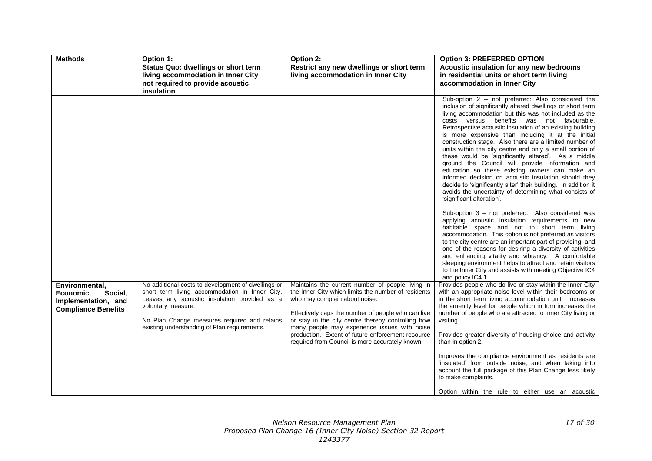| <b>Methods</b>                                                                              | Option 1:<br>Status Quo: dwellings or short term<br>living accommodation in Inner City<br>not required to provide acoustic<br>insulation                                                                                                                                   | Option 2:<br>Restrict any new dwellings or short term<br>living accommodation in Inner City                                                                                                                                                                                                                                                                                                                  | <b>Option 3: PREFERRED OPTION</b><br>Acoustic insulation for any new bedrooms<br>in residential units or short term living<br>accommodation in Inner City                                                                                                                                                                                                                                                                                                                                                                                                                                                                                                                                                                                                                                                                                   |
|---------------------------------------------------------------------------------------------|----------------------------------------------------------------------------------------------------------------------------------------------------------------------------------------------------------------------------------------------------------------------------|--------------------------------------------------------------------------------------------------------------------------------------------------------------------------------------------------------------------------------------------------------------------------------------------------------------------------------------------------------------------------------------------------------------|---------------------------------------------------------------------------------------------------------------------------------------------------------------------------------------------------------------------------------------------------------------------------------------------------------------------------------------------------------------------------------------------------------------------------------------------------------------------------------------------------------------------------------------------------------------------------------------------------------------------------------------------------------------------------------------------------------------------------------------------------------------------------------------------------------------------------------------------|
|                                                                                             |                                                                                                                                                                                                                                                                            |                                                                                                                                                                                                                                                                                                                                                                                                              | Sub-option 2 - not preferred: Also considered the<br>inclusion of significantly altered dwellings or short term<br>living accommodation but this was not included as the<br>costs versus benefits was not favourable.<br>Retrospective acoustic insulation of an existing building<br>is more expensive than including it at the initial<br>construction stage. Also there are a limited number of<br>units within the city centre and only a small portion of<br>these would be 'significantly altered'. As a middle<br>ground the Council will provide information and<br>education so these existing owners can make an<br>informed decision on acoustic insulation should they<br>decide to 'significantly alter' their building. In addition it<br>avoids the uncertainty of determining what consists of<br>'significant alteration'. |
|                                                                                             |                                                                                                                                                                                                                                                                            |                                                                                                                                                                                                                                                                                                                                                                                                              | Sub-option 3 - not preferred: Also considered was<br>applying acoustic insulation requirements to new<br>habitable space and not to short term living<br>accommodation. This option is not preferred as visitors<br>to the city centre are an important part of providing, and<br>one of the reasons for desiring a diversity of activities<br>and enhancing vitality and vibrancy. A comfortable<br>sleeping environment helps to attract and retain visitors<br>to the Inner City and assists with meeting Objective IC4<br>and policy IC4.1.                                                                                                                                                                                                                                                                                             |
| Environmental,<br>Economic,<br>Social.<br>Implementation, and<br><b>Compliance Benefits</b> | No additional costs to development of dwellings or<br>short term living accommodation in Inner City.<br>Leaves any acoustic insulation provided as a<br>voluntary measure.<br>No Plan Change measures required and retains<br>existing understanding of Plan requirements. | Maintains the current number of people living in<br>the Inner City which limits the number of residents<br>who may complain about noise.<br>Effectively caps the number of people who can live<br>or stay in the city centre thereby controlling how<br>many people may experience issues with noise<br>production. Extent of future enforcement resource<br>required from Council is more accurately known. | Provides people who do live or stay within the Inner City<br>with an appropriate noise level within their bedrooms or<br>in the short term living accommodation unit. Increases<br>the amenity level for people which in turn increases the<br>number of people who are attracted to Inner City living or<br>visiting.<br>Provides greater diversity of housing choice and activity<br>than in option 2.<br>Improves the compliance environment as residents are<br>'insulated' from outside noise, and when taking into<br>account the full package of this Plan Change less likely<br>to make complaints.<br>Option within the rule to either use an acoustic                                                                                                                                                                             |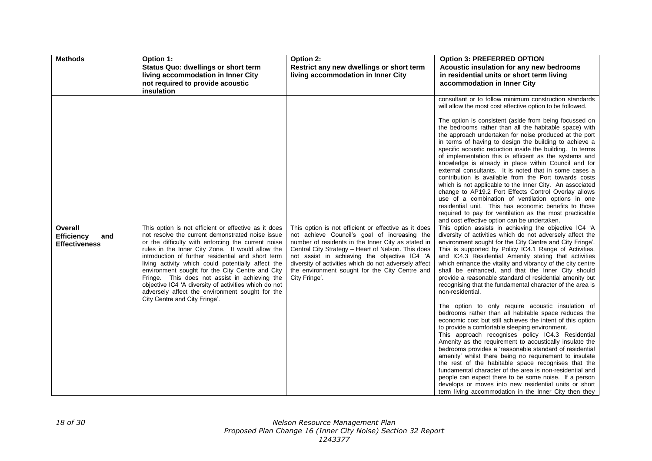| <b>Methods</b>                                              | Option 1:<br><b>Status Quo: dwellings or short term</b><br>living accommodation in Inner City<br>not required to provide acoustic<br>insulation                                                                                                                                                                                                                                                                                                                                                                                                                                 | Option 2:<br>Restrict any new dwellings or short term<br>living accommodation in Inner City                                                                                                                                                                                                                                                                                                  | <b>Option 3: PREFERRED OPTION</b><br>Acoustic insulation for any new bedrooms<br>in residential units or short term living<br>accommodation in Inner City                                                                                                                                                                                                                                                                                                                                                                                                                                                                                                                                                                                                                                                                                                                                                                                                                                                                                                                                                                                                                                                                                                                                                                                                                                                                                                                                                                                                                                                                                                                                                                                                                                                                                                                                                                                                                                                                                                                                                                                                                                                                                                                                                                                        |
|-------------------------------------------------------------|---------------------------------------------------------------------------------------------------------------------------------------------------------------------------------------------------------------------------------------------------------------------------------------------------------------------------------------------------------------------------------------------------------------------------------------------------------------------------------------------------------------------------------------------------------------------------------|----------------------------------------------------------------------------------------------------------------------------------------------------------------------------------------------------------------------------------------------------------------------------------------------------------------------------------------------------------------------------------------------|--------------------------------------------------------------------------------------------------------------------------------------------------------------------------------------------------------------------------------------------------------------------------------------------------------------------------------------------------------------------------------------------------------------------------------------------------------------------------------------------------------------------------------------------------------------------------------------------------------------------------------------------------------------------------------------------------------------------------------------------------------------------------------------------------------------------------------------------------------------------------------------------------------------------------------------------------------------------------------------------------------------------------------------------------------------------------------------------------------------------------------------------------------------------------------------------------------------------------------------------------------------------------------------------------------------------------------------------------------------------------------------------------------------------------------------------------------------------------------------------------------------------------------------------------------------------------------------------------------------------------------------------------------------------------------------------------------------------------------------------------------------------------------------------------------------------------------------------------------------------------------------------------------------------------------------------------------------------------------------------------------------------------------------------------------------------------------------------------------------------------------------------------------------------------------------------------------------------------------------------------------------------------------------------------------------------------------------------------|
| Overall<br><b>Efficiency</b><br>and<br><b>Effectiveness</b> | This option is not efficient or effective as it does<br>not resolve the current demonstrated noise issue<br>or the difficulty with enforcing the current noise<br>rules in the Inner City Zone. It would allow the<br>introduction of further residential and short term<br>living activity which could potentially affect the<br>environment sought for the City Centre and City<br>Fringe. This does not assist in achieving the<br>objective IC4 'A diversity of activities which do not<br>adversely affect the environment sought for the<br>City Centre and City Fringe'. | This option is not efficient or effective as it does<br>not achieve Council's goal of increasing the<br>number of residents in the Inner City as stated in<br>Central City Strategy - Heart of Nelson. This does<br>not assist in achieving the objective IC4 'A<br>diversity of activities which do not adversely affect<br>the environment sought for the City Centre and<br>City Fringe'. | consultant or to follow minimum construction standards<br>will allow the most cost effective option to be followed.<br>The option is consistent (aside from being focussed on<br>the bedrooms rather than all the habitable space) with<br>the approach undertaken for noise produced at the port<br>in terms of having to design the building to achieve a<br>specific acoustic reduction inside the building. In terms<br>of implementation this is efficient as the systems and<br>knowledge is already in place within Council and for<br>external consultants. It is noted that in some cases a<br>contribution is available from the Port towards costs<br>which is not applicable to the Inner City. An associated<br>change to AP19.2 Port Effects Control Overlay allows<br>use of a combination of ventilation options in one<br>residential unit. This has economic benefits to those<br>required to pay for ventilation as the most practicable<br>and cost effective option can be undertaken.<br>This option assists in achieving the objective IC4 'A<br>diversity of activities which do not adversely affect the<br>environment sought for the City Centre and City Fringe'.<br>This is supported by Policy IC4.1 Range of Activities,<br>and IC4.3 Residential Amenity stating that activities<br>which enhance the vitality and vibrancy of the city centre<br>shall be enhanced, and that the Inner City should<br>provide a reasonable standard of residential amenity but<br>recognising that the fundamental character of the area is<br>non-residential.<br>The option to only require acoustic insulation of<br>bedrooms rather than all habitable space reduces the<br>economic cost but still achieves the intent of this option<br>to provide a comfortable sleeping environment.<br>This approach recognises policy IC4.3 Residential<br>Amenity as the requirement to acoustically insulate the<br>bedrooms provides a 'reasonable standard of residential<br>amenity' whilst there being no requirement to insulate<br>the rest of the habitable space recognises that the<br>fundamental character of the area is non-residential and<br>people can expect there to be some noise. If a person<br>develops or moves into new residential units or short<br>term living accommodation in the Inner City then they |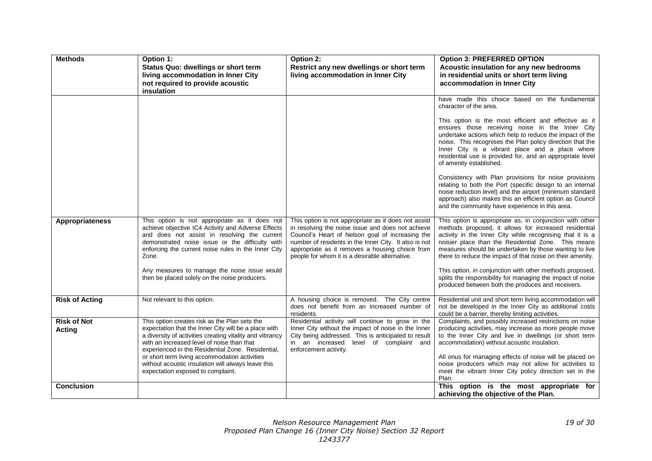| <b>Methods</b>                      | Option 1:<br><b>Status Quo: dwellings or short term</b><br>living accommodation in Inner City<br>not required to provide acoustic<br>insulation                                                                                                                                                                                                                             | Option 2:<br>Restrict any new dwellings or short term<br>living accommodation in Inner City                                                                                                                                                                                                                                 | <b>Option 3: PREFERRED OPTION</b><br>Acoustic insulation for any new bedrooms<br>in residential units or short term living<br>accommodation in Inner City                                                                                                                                                                                                     |
|-------------------------------------|-----------------------------------------------------------------------------------------------------------------------------------------------------------------------------------------------------------------------------------------------------------------------------------------------------------------------------------------------------------------------------|-----------------------------------------------------------------------------------------------------------------------------------------------------------------------------------------------------------------------------------------------------------------------------------------------------------------------------|---------------------------------------------------------------------------------------------------------------------------------------------------------------------------------------------------------------------------------------------------------------------------------------------------------------------------------------------------------------|
|                                     |                                                                                                                                                                                                                                                                                                                                                                             |                                                                                                                                                                                                                                                                                                                             | have made this choice based on the fundamental<br>character of the area.<br>This option is the most efficient and effective as it                                                                                                                                                                                                                             |
|                                     |                                                                                                                                                                                                                                                                                                                                                                             |                                                                                                                                                                                                                                                                                                                             | ensures those receiving noise in the Inner City<br>undertake actions which help to reduce the impact of the<br>noise. This recognises the Plan policy direction that the<br>Inner City is a vibrant place and a place where<br>residential use is provided for, and an appropriate level<br>of amenity established.                                           |
|                                     |                                                                                                                                                                                                                                                                                                                                                                             |                                                                                                                                                                                                                                                                                                                             | Consistency with Plan provisions for noise provisions<br>relating to both the Port (specific design to an internal<br>noise reduction level) and the airport (minimum standard<br>approach) also makes this an efficient option as Council<br>and the community have experience in this area.                                                                 |
| <b>Appropriateness</b>              | This option is not appropriate as it does not<br>achieve objective IC4 Activity and Adverse Effects<br>and does not assist in resolving the current<br>demonstrated noise issue or the difficulty with<br>enforcing the current noise rules in the Inner City<br>Zone.                                                                                                      | This option is not appropriate as it does not assist<br>in resolving the noise issue and does not achieve<br>Council's Heart of Nelson goal of increasing the<br>number of residents in the Inner City. It also is not<br>appropriate as it removes a housing choice from<br>people for whom it is a desirable alternative. | This option is appropriate as, in conjunction with other<br>methods proposed, it allows for increased residential<br>activity in the Inner City while recognising that it is a<br>noisier place than the Residential Zone. This means<br>measures should be undertaken by those wanting to live<br>there to reduce the impact of that noise on their amenity. |
|                                     | Any measures to manage the noise issue would<br>then be placed solely on the noise producers.                                                                                                                                                                                                                                                                               |                                                                                                                                                                                                                                                                                                                             | This option, in conjunction with other methods proposed,<br>splits the responsibility for managing the impact of noise<br>produced between both the produces and receivers.                                                                                                                                                                                   |
| <b>Risk of Acting</b>               | Not relevant to this option.                                                                                                                                                                                                                                                                                                                                                | A housing choice is removed. The City centre<br>does not benefit from an increased number of<br>residents.                                                                                                                                                                                                                  | Residential unit and short term living accommodation will<br>not be developed in the Inner City as additional costs<br>could be a barrier, thereby limiting activities.                                                                                                                                                                                       |
| <b>Risk of Not</b><br><b>Acting</b> | This option creates risk as the Plan sets the<br>expectation that the Inner City will be a place with<br>a diversity of activities creating vitality and vibrancy<br>with an increased level of noise than that<br>experienced in the Residential Zone. Residential,<br>or short term living accommodation activities<br>without acoustic insulation will always leave this | Residential activity will continue to grow in the<br>Inner City without the impact of noise in the Inner<br>City being addressed. This is anticipated to result<br>in an increased level of complaint and<br>enforcement activity.                                                                                          | Complaints, and possibly increased restrictions on noise<br>producing activities, may increase as more people move<br>to the Inner City and live in dwellings (or short term<br>accommodation) without acoustic insulation.<br>All onus for managing effects of noise will be placed on<br>noise producers which may not allow for activities to              |
| <b>Conclusion</b>                   | expectation exposed to complaint.                                                                                                                                                                                                                                                                                                                                           |                                                                                                                                                                                                                                                                                                                             | meet the vibrant Inner City policy direction set in the<br>Plan.<br>This option is the most appropriate for<br>achieving the objective of the Plan.                                                                                                                                                                                                           |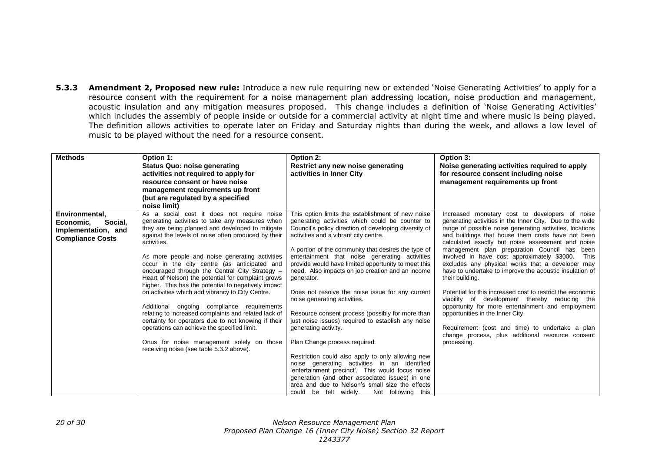**5.3.3 Amendment 2, Proposed new rule:** Introduce a new rule requiring new or extended 'Noise Generating Activities' to apply for a resource consent with the requirement for a noise management plan addressing location, noise production and management, acoustic insulation and any mitigation measures proposed. This change includes a definition of 'Noise Generating Activities' which includes the assembly of people inside or outside for a commercial activity at night time and where music is being played. The definition allows activities to operate later on Friday and Saturday nights than during the week, and allows a low level of music to be played without the need for a resource consent.

| <b>Methods</b>                                                                           | Option 1:<br>Status Quo: noise generating<br>activities not required to apply for<br>resource consent or have noise<br>management requirements up front<br>(but are regulated by a specified<br>noise limit)                                                                                                                                                                                                                                                                                                                                                                                                                                                                                                                                                                                                                                      | Option 2:<br>Restrict any new noise generating<br>activities in Inner City                                                                                                                                                                                                                                                                                                                                                                                                                                                                                                                                                                                                                                                                                                                                                                                                                                                                                                                                    | Option 3:<br>Noise generating activities required to apply<br>for resource consent including noise<br>management requirements up front                                                                                                                                                                                                                                                                                                                                                                                                                                                                                                                                                                                                                                                                                                               |
|------------------------------------------------------------------------------------------|---------------------------------------------------------------------------------------------------------------------------------------------------------------------------------------------------------------------------------------------------------------------------------------------------------------------------------------------------------------------------------------------------------------------------------------------------------------------------------------------------------------------------------------------------------------------------------------------------------------------------------------------------------------------------------------------------------------------------------------------------------------------------------------------------------------------------------------------------|---------------------------------------------------------------------------------------------------------------------------------------------------------------------------------------------------------------------------------------------------------------------------------------------------------------------------------------------------------------------------------------------------------------------------------------------------------------------------------------------------------------------------------------------------------------------------------------------------------------------------------------------------------------------------------------------------------------------------------------------------------------------------------------------------------------------------------------------------------------------------------------------------------------------------------------------------------------------------------------------------------------|------------------------------------------------------------------------------------------------------------------------------------------------------------------------------------------------------------------------------------------------------------------------------------------------------------------------------------------------------------------------------------------------------------------------------------------------------------------------------------------------------------------------------------------------------------------------------------------------------------------------------------------------------------------------------------------------------------------------------------------------------------------------------------------------------------------------------------------------------|
| Environmental,<br>Economic,<br>Social,<br>Implementation, and<br><b>Compliance Costs</b> | As a social cost it does not require noise<br>generating activities to take any measures when<br>they are being planned and developed to mitigate<br>against the levels of noise often produced by their<br>activities.<br>As more people and noise generating activities<br>occur in the city centre (as anticipated and<br>encouraged through the Central City Strategy -<br>Heart of Nelson) the potential for complaint grows<br>higher. This has the potential to negatively impact<br>on activities which add vibrancy to City Centre.<br>Additional ongoing compliance requirements<br>relating to increased complaints and related lack of<br>certainty for operators due to not knowing if their<br>operations can achieve the specified limit.<br>Onus for noise management solely on those<br>receiving noise (see table 5.3.2 above). | This option limits the establishment of new noise<br>generating activities which could be counter to<br>Council's policy direction of developing diversity of<br>activities and a vibrant city centre.<br>A portion of the community that desires the type of<br>entertainment that noise generating activities<br>provide would have limited opportunity to meet this<br>need. Also impacts on job creation and an income<br>generator.<br>Does not resolve the noise issue for any current<br>noise generating activities.<br>Resource consent process (possibly for more than<br>just noise issues) required to establish any noise<br>generating activity.<br>Plan Change process required.<br>Restriction could also apply to only allowing new<br>noise generating activities in an identified<br>'entertainment precinct'. This would focus noise<br>generation (and other associated issues) in one<br>area and due to Nelson's small size the effects<br>could be felt widely.<br>Not following this | Increased monetary cost to developers of noise<br>generating activities in the Inner City. Due to the wide<br>range of possible noise generating activities, locations<br>and buildings that house them costs have not been<br>calculated exactly but noise assessment and noise<br>management plan preparation Council has been<br>involved in have cost approximately \$3000. This<br>excludes any physical works that a developer may<br>have to undertake to improve the acoustic insulation of<br>their building.<br>Potential for this increased cost to restrict the economic<br>viability of development thereby reducing the<br>opportunity for more entertainment and employment<br>opportunities in the Inner City.<br>Requirement (cost and time) to undertake a plan<br>change process, plus additional resource consent<br>processing. |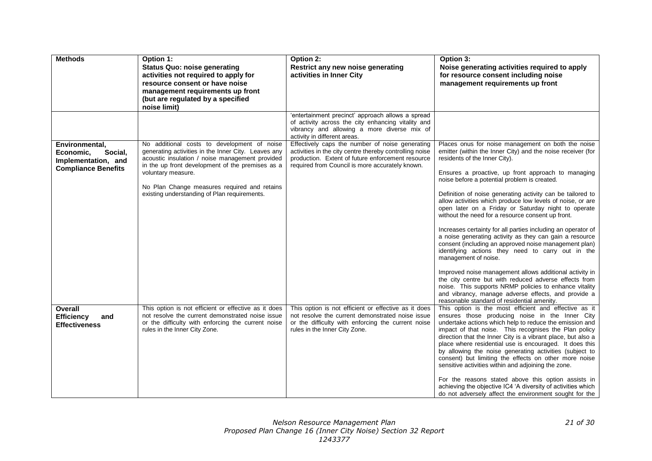| <b>Methods</b>                                                                              | Option 1:<br><b>Status Quo: noise generating</b><br>activities not required to apply for<br>resource consent or have noise<br>management requirements up front<br>(but are regulated by a specified<br>noise limit)                                                                                                             | Option 2:<br>Restrict any new noise generating<br>activities in Inner City                                                                                                                                         | Option 3:<br>Noise generating activities required to apply<br>for resource consent including noise<br>management requirements up front                                                                                                                                                                                                                                                                                                                                                                                                                                                                                                                                                                                                                                                                                                                                                                                                                                                                                                                |
|---------------------------------------------------------------------------------------------|---------------------------------------------------------------------------------------------------------------------------------------------------------------------------------------------------------------------------------------------------------------------------------------------------------------------------------|--------------------------------------------------------------------------------------------------------------------------------------------------------------------------------------------------------------------|-------------------------------------------------------------------------------------------------------------------------------------------------------------------------------------------------------------------------------------------------------------------------------------------------------------------------------------------------------------------------------------------------------------------------------------------------------------------------------------------------------------------------------------------------------------------------------------------------------------------------------------------------------------------------------------------------------------------------------------------------------------------------------------------------------------------------------------------------------------------------------------------------------------------------------------------------------------------------------------------------------------------------------------------------------|
|                                                                                             |                                                                                                                                                                                                                                                                                                                                 | 'entertainment precinct' approach allows a spread<br>of activity across the city enhancing vitality and<br>vibrancy and allowing a more diverse mix of<br>activity in different areas.                             |                                                                                                                                                                                                                                                                                                                                                                                                                                                                                                                                                                                                                                                                                                                                                                                                                                                                                                                                                                                                                                                       |
| Environmental,<br>Economic,<br>Social,<br>Implementation, and<br><b>Compliance Benefits</b> | No additional costs to development of noise<br>generating activities in the Inner City. Leaves any<br>acoustic insulation / noise management provided<br>in the up front development of the premises as a<br>voluntary measure.<br>No Plan Change measures required and retains<br>existing understanding of Plan requirements. | Effectively caps the number of noise generating<br>activities in the city centre thereby controlling noise<br>production. Extent of future enforcement resource<br>required from Council is more accurately known. | Places onus for noise management on both the noise<br>emitter (within the Inner City) and the noise receiver (for<br>residents of the Inner City).<br>Ensures a proactive, up front approach to managing<br>noise before a potential problem is created.<br>Definition of noise generating activity can be tailored to<br>allow activities which produce low levels of noise, or are<br>open later on a Friday or Saturday night to operate<br>without the need for a resource consent up front.<br>Increases certainty for all parties including an operator of<br>a noise generating activity as they can gain a resource<br>consent (including an approved noise management plan)<br>identifying actions they need to carry out in the<br>management of noise.<br>Improved noise management allows additional activity in<br>the city centre but with reduced adverse effects from<br>noise. This supports NRMP policies to enhance vitality<br>and vibrancy, manage adverse effects, and provide a<br>reasonable standard of residential amenity. |
| Overall<br><b>Efficiency</b><br>and<br><b>Effectiveness</b>                                 | This option is not efficient or effective as it does<br>not resolve the current demonstrated noise issue<br>or the difficulty with enforcing the current noise<br>rules in the Inner City Zone.                                                                                                                                 | This option is not efficient or effective as it does<br>not resolve the current demonstrated noise issue<br>or the difficulty with enforcing the current noise<br>rules in the Inner City Zone.                    | This option is the most efficient and effective as it<br>ensures those producing noise in the Inner City<br>undertake actions which help to reduce the emission and<br>impact of that noise. This recognises the Plan policy<br>direction that the Inner City is a vibrant place, but also a<br>place where residential use is encouraged. It does this<br>by allowing the noise generating activities (subject to<br>consent) but limiting the effects on other more noise<br>sensitive activities within and adjoining the zone.<br>For the reasons stated above this option assists in<br>achieving the objective IC4 'A diversity of activities which<br>do not adversely affect the environment sought for the                                                                                                                                                                                                                                                                                                                                   |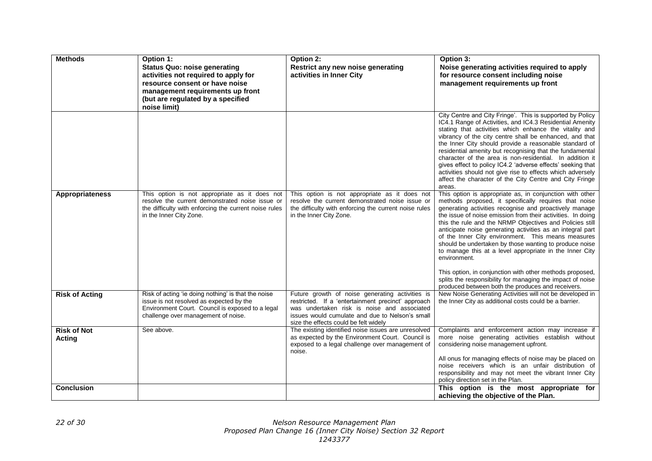| <b>Methods</b>               | Option 1:<br><b>Status Quo: noise generating</b><br>activities not required to apply for<br>resource consent or have noise<br>management requirements up front<br>(but are regulated by a specified<br>noise limit) | Option 2:<br>Restrict any new noise generating<br>activities in Inner City                                                                                                                                                                       | Option 3:<br>Noise generating activities required to apply<br>for resource consent including noise<br>management requirements up front                                                                                                                                                                                                                                                                                                                                                                                                                                                                                         |
|------------------------------|---------------------------------------------------------------------------------------------------------------------------------------------------------------------------------------------------------------------|--------------------------------------------------------------------------------------------------------------------------------------------------------------------------------------------------------------------------------------------------|--------------------------------------------------------------------------------------------------------------------------------------------------------------------------------------------------------------------------------------------------------------------------------------------------------------------------------------------------------------------------------------------------------------------------------------------------------------------------------------------------------------------------------------------------------------------------------------------------------------------------------|
|                              |                                                                                                                                                                                                                     |                                                                                                                                                                                                                                                  | City Centre and City Fringe'. This is supported by Policy<br>IC4.1 Range of Activities, and IC4.3 Residential Amenity<br>stating that activities which enhance the vitality and<br>vibrancy of the city centre shall be enhanced, and that<br>the Inner City should provide a reasonable standard of<br>residential amenity but recognising that the fundamental<br>character of the area is non-residential. In addition it<br>gives effect to policy IC4.2 'adverse effects' seeking that<br>activities should not give rise to effects which adversely<br>affect the character of the City Centre and City Fringe<br>areas. |
| <b>Appropriateness</b>       | This option is not appropriate as it does not<br>resolve the current demonstrated noise issue or<br>the difficulty with enforcing the current noise rules<br>in the Inner City Zone.                                | This option is not appropriate as it does not<br>resolve the current demonstrated noise issue or<br>the difficulty with enforcing the current noise rules<br>in the Inner City Zone.                                                             | This option is appropriate as, in conjunction with other<br>methods proposed, it specifically requires that noise<br>generating activities recognise and proactively manage<br>the issue of noise emission from their activities. In doing<br>this the rule and the NRMP Objectives and Policies still<br>anticipate noise generating activities as an integral part<br>of the Inner City environment. This means measures<br>should be undertaken by those wanting to produce noise<br>to manage this at a level appropriate in the Inner City<br>environment.                                                                |
|                              |                                                                                                                                                                                                                     |                                                                                                                                                                                                                                                  | This option, in conjunction with other methods proposed,<br>splits the responsibility for managing the impact of noise<br>produced between both the produces and receivers.                                                                                                                                                                                                                                                                                                                                                                                                                                                    |
| <b>Risk of Acting</b>        | Risk of acting 'ie doing nothing' is that the noise<br>issue is not resolved as expected by the<br>Environment Court. Council is exposed to a legal<br>challenge over management of noise.                          | Future growth of noise generating activities is<br>restricted. If a 'entertainment precinct' approach<br>was undertaken risk is noise and associated<br>issues would cumulate and due to Nelson's small<br>size the effects could be felt widely | New Noise Generating Activities will not be developed in<br>the Inner City as additional costs could be a barrier.                                                                                                                                                                                                                                                                                                                                                                                                                                                                                                             |
| <b>Risk of Not</b><br>Acting | See above.                                                                                                                                                                                                          | The existing identified noise issues are unresolved<br>as expected by the Environment Court. Council is<br>exposed to a legal challenge over management of<br>noise.                                                                             | Complaints and enforcement action may increase if<br>more noise generating activities establish without<br>considering noise management upfront.<br>All onus for managing effects of noise may be placed on<br>noise receivers which is an unfair distribution of<br>responsibility and may not meet the vibrant Inner City<br>policy direction set in the Plan.                                                                                                                                                                                                                                                               |
| <b>Conclusion</b>            |                                                                                                                                                                                                                     |                                                                                                                                                                                                                                                  | This option is the most appropriate for<br>achieving the objective of the Plan.                                                                                                                                                                                                                                                                                                                                                                                                                                                                                                                                                |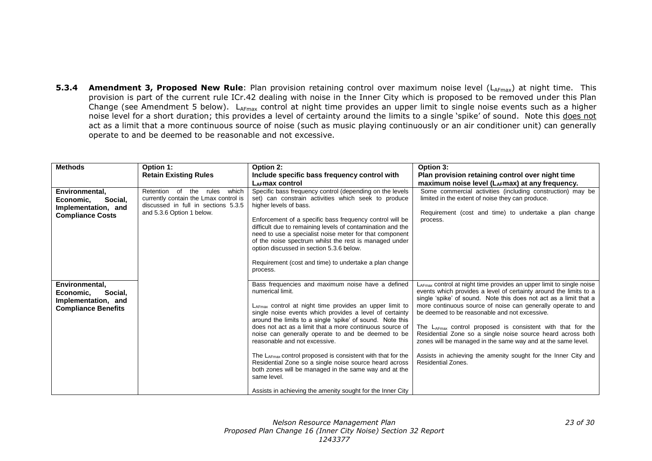**5.3.4 Amendment 3, Proposed New Rule**: Plan provision retaining control over maximum noise level (L<sub>AFmax</sub>) at night time. This provision is part of the current rule ICr.42 dealing with noise in the Inner City which is proposed to be removed under this Plan Change (see Amendment 5 below). L<sub>AFmax</sub> control at night time provides an upper limit to single noise events such as a higher noise level for a short duration; this provides a level of certainty around the limits to a single 'spike' of sound. Note this does not act as a limit that a more continuous source of noise (such as music playing continuously or an air conditioner unit) can generally operate to and be deemed to be reasonable and not excessive.

| <b>Methods</b>                                                                              | Option 1:<br><b>Retain Existing Rules</b>                                                                                                    | Option 2:<br>Include specific bass frequency control with<br>LAFmax control                                                                                                                                                                                                                                                                                                                                                                                                                                                                                                                                                                                                | Option 3:<br>Plan provision retaining control over night time<br>maximum noise level (LAFmax) at any frequency.                                                                                                                                                                                                                                                                                                                                                                                                                                                                                                                               |
|---------------------------------------------------------------------------------------------|----------------------------------------------------------------------------------------------------------------------------------------------|----------------------------------------------------------------------------------------------------------------------------------------------------------------------------------------------------------------------------------------------------------------------------------------------------------------------------------------------------------------------------------------------------------------------------------------------------------------------------------------------------------------------------------------------------------------------------------------------------------------------------------------------------------------------------|-----------------------------------------------------------------------------------------------------------------------------------------------------------------------------------------------------------------------------------------------------------------------------------------------------------------------------------------------------------------------------------------------------------------------------------------------------------------------------------------------------------------------------------------------------------------------------------------------------------------------------------------------|
| Environmental,<br>Social,<br>Economic.<br>Implementation, and<br><b>Compliance Costs</b>    | which<br>Retention of the rules<br>currently contain the Lmax control is<br>discussed in full in sections 5.3.5<br>and 5.3.6 Option 1 below. | Specific bass frequency control (depending on the levels<br>set) can constrain activities which seek to produce<br>higher levels of bass.<br>Enforcement of a specific bass frequency control will be<br>difficult due to remaining levels of contamination and the<br>need to use a specialist noise meter for that component<br>of the noise spectrum whilst the rest is managed under<br>option discussed in section 5.3.6 below.<br>Requirement (cost and time) to undertake a plan change<br>process.                                                                                                                                                                 | Some commercial activities (including construction) may be<br>limited in the extent of noise they can produce.<br>Requirement (cost and time) to undertake a plan change<br>process.                                                                                                                                                                                                                                                                                                                                                                                                                                                          |
| Environmental.<br>Social,<br>Economic,<br>Implementation, and<br><b>Compliance Benefits</b> |                                                                                                                                              | Bass frequencies and maximum noise have a defined<br>numerical limit.<br>LAFmax control at night time provides an upper limit to<br>single noise events which provides a level of certainty<br>around the limits to a single 'spike' of sound. Note this<br>does not act as a limit that a more continuous source of<br>noise can generally operate to and be deemed to be<br>reasonable and not excessive.<br>The LAFmax control proposed is consistent with that for the<br>Residential Zone so a single noise source heard across<br>both zones will be managed in the same way and at the<br>same level.<br>Assists in achieving the amenity sought for the Inner City | $L_{\text{AFmax}}$ control at night time provides an upper limit to single noise<br>events which provides a level of certainty around the limits to a<br>single 'spike' of sound. Note this does not act as a limit that a<br>more continuous source of noise can generally operate to and<br>be deemed to be reasonable and not excessive.<br>The $L_{AFmax}$ control proposed is consistent with that for the<br>Residential Zone so a single noise source heard across both<br>zones will be managed in the same way and at the same level.<br>Assists in achieving the amenity sought for the Inner City and<br><b>Residential Zones.</b> |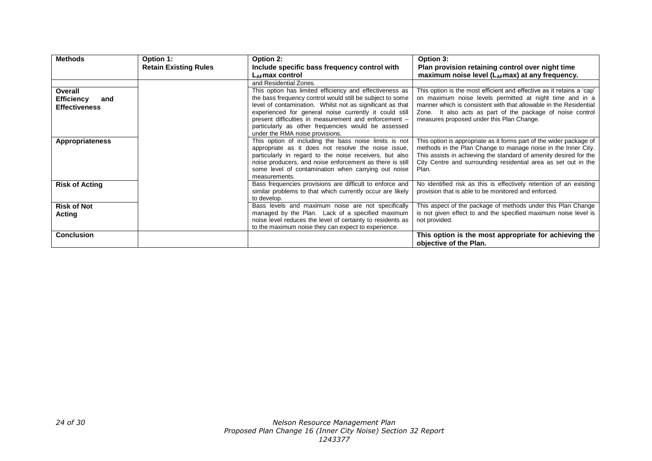| <b>Methods</b>           | Option 1:                    | Option 2:                                                                                                      | Option 3:                                                                                                                          |
|--------------------------|------------------------------|----------------------------------------------------------------------------------------------------------------|------------------------------------------------------------------------------------------------------------------------------------|
|                          | <b>Retain Existing Rules</b> | Include specific bass frequency control with                                                                   | Plan provision retaining control over night time                                                                                   |
|                          |                              | $L_{AF}$ max control                                                                                           | maximum noise level $(L_{AF}$ max) at any frequency.                                                                               |
|                          |                              | and Residential Zones.                                                                                         |                                                                                                                                    |
| Overall                  |                              | This option has limited efficiency and effectiveness as                                                        | This option is the most efficient and effective as it retains a 'cap'                                                              |
| <b>Efficiency</b><br>and |                              | the bass frequency control would still be subject to some                                                      | on maximum noise levels permitted at night time and in a                                                                           |
| <b>Effectiveness</b>     |                              | level of contamination. Whilst not as significant as that                                                      | manner which is consistent with that allowable in the Residential                                                                  |
|                          |                              | experienced for general noise currently it could still                                                         | Zone. It also acts as part of the package of noise control                                                                         |
|                          |                              | present difficulties in measurement and enforcement -                                                          | measures proposed under this Plan Change.                                                                                          |
|                          |                              | particularly as other frequencies would be assessed                                                            |                                                                                                                                    |
|                          |                              | under the RMA noise provisions.                                                                                |                                                                                                                                    |
| <b>Appropriateness</b>   |                              | This option of including the bass noise limits is not                                                          | This option is appropriate as it forms part of the wider package of                                                                |
|                          |                              | appropriate as it does not resolve the noise issue,<br>particularly in regard to the noise receivers, but also | methods in the Plan Change to manage noise in the Inner City.<br>This assists in achieving the standard of amenity desired for the |
|                          |                              | noise producers, and noise enforcement as there is still                                                       | City Centre and surrounding residential area as set out in the                                                                     |
|                          |                              | some level of contamination when carrying out noise                                                            | Plan.                                                                                                                              |
|                          |                              | measurements.                                                                                                  |                                                                                                                                    |
| <b>Risk of Acting</b>    |                              | Bass frequencies provisions are difficult to enforce and                                                       | No identified risk as this is effectively retention of an existing                                                                 |
|                          |                              | similar problems to that which currently occur are likely                                                      | provision that is able to be monitored and enforced.                                                                               |
|                          |                              | to develop.                                                                                                    |                                                                                                                                    |
| <b>Risk of Not</b>       |                              | Bass levels and maximum noise are not specifically                                                             | This aspect of the package of methods under this Plan Change                                                                       |
| Acting                   |                              | managed by the Plan. Lack of a specified maximum                                                               | is not given effect to and the specified maximum noise level is                                                                    |
|                          |                              | noise level reduces the level of certainty to residents as                                                     | not provided.                                                                                                                      |
|                          |                              | to the maximum noise they can expect to experience.                                                            |                                                                                                                                    |
| <b>Conclusion</b>        |                              |                                                                                                                | This option is the most appropriate for achieving the                                                                              |
|                          |                              |                                                                                                                | objective of the Plan.                                                                                                             |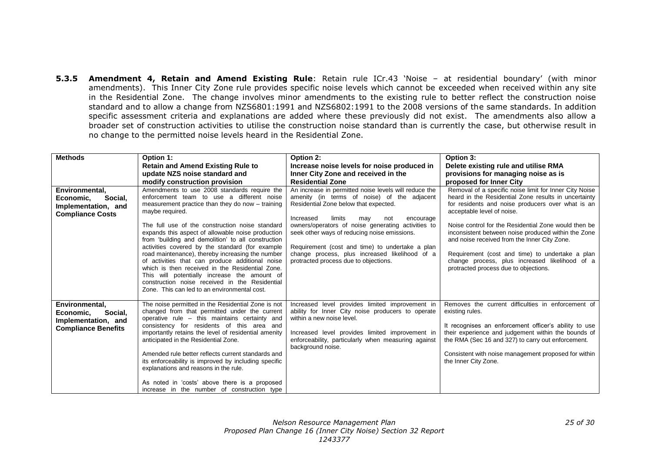**5.3.5 Amendment 4, Retain and Amend Existing Rule**: Retain rule ICr.43 'Noise – at residential boundary' (with minor amendments). This Inner City Zone rule provides specific noise levels which cannot be exceeded when received within any site in the Residential Zone. The change involves minor amendments to the existing rule to better reflect the construction noise standard and to allow a change from NZS6801:1991 and NZS6802:1991 to the 2008 versions of the same standards. In addition specific assessment criteria and explanations are added where these previously did not exist. The amendments also allow a broader set of construction activities to utilise the construction noise standard than is currently the case, but otherwise result in no change to the permitted noise levels heard in the Residential Zone.

| <b>Methods</b>                                                                              | Option 1:                                                                                                                                                                                                                                                                                                                                                                                                                                                                                                                                                                                                                                                                                     | Option 2:                                                                                                                                                                                                                                                                                                                                                                                                                                           | Option 3:                                                                                                                                                                                                                                                                                                                                                                                                                                                                                                      |
|---------------------------------------------------------------------------------------------|-----------------------------------------------------------------------------------------------------------------------------------------------------------------------------------------------------------------------------------------------------------------------------------------------------------------------------------------------------------------------------------------------------------------------------------------------------------------------------------------------------------------------------------------------------------------------------------------------------------------------------------------------------------------------------------------------|-----------------------------------------------------------------------------------------------------------------------------------------------------------------------------------------------------------------------------------------------------------------------------------------------------------------------------------------------------------------------------------------------------------------------------------------------------|----------------------------------------------------------------------------------------------------------------------------------------------------------------------------------------------------------------------------------------------------------------------------------------------------------------------------------------------------------------------------------------------------------------------------------------------------------------------------------------------------------------|
|                                                                                             | <b>Retain and Amend Existing Rule to</b>                                                                                                                                                                                                                                                                                                                                                                                                                                                                                                                                                                                                                                                      | Increase noise levels for noise produced in                                                                                                                                                                                                                                                                                                                                                                                                         | Delete existing rule and utilise RMA                                                                                                                                                                                                                                                                                                                                                                                                                                                                           |
|                                                                                             | update NZS noise standard and                                                                                                                                                                                                                                                                                                                                                                                                                                                                                                                                                                                                                                                                 | Inner City Zone and received in the                                                                                                                                                                                                                                                                                                                                                                                                                 | provisions for managing noise as is                                                                                                                                                                                                                                                                                                                                                                                                                                                                            |
|                                                                                             | modify construction provision                                                                                                                                                                                                                                                                                                                                                                                                                                                                                                                                                                                                                                                                 | <b>Residential Zone</b>                                                                                                                                                                                                                                                                                                                                                                                                                             | proposed for Inner City                                                                                                                                                                                                                                                                                                                                                                                                                                                                                        |
| Environmental,<br>Social.<br>Economic.<br>Implementation, and<br><b>Compliance Costs</b>    | Amendments to use 2008 standards require the<br>enforcement team to use a different noise<br>measurement practice than they do now - training<br>maybe required.<br>The full use of the construction noise standard<br>expands this aspect of allowable noise production<br>from 'building and demolition' to all construction<br>activities covered by the standard (for example<br>road maintenance), thereby increasing the number<br>of activities that can produce additional noise<br>which is then received in the Residential Zone.<br>This will potentially increase the amount of<br>construction noise received in the Residential<br>Zone. This can led to an environmental cost. | An increase in permitted noise levels will reduce the<br>amenity (in terms of noise) of the adjacent<br>Residential Zone below that expected.<br>Increased<br>limits<br>encourage<br>may<br>not<br>owners/operators of noise generating activities to<br>seek other ways of reducing noise emissions.<br>Requirement (cost and time) to undertake a plan<br>change process, plus increased likelihood of a<br>protracted process due to objections. | Removal of a specific noise limit for Inner City Noise<br>heard in the Residential Zone results in uncertainty<br>for residents and noise producers over what is an<br>acceptable level of noise.<br>Noise control for the Residential Zone would then be<br>inconsistent between noise produced within the Zone<br>and noise received from the Inner City Zone.<br>Requirement (cost and time) to undertake a plan<br>change process, plus increased likelihood of a<br>protracted process due to objections. |
| Environmental,<br>Economic.<br>Social.<br>Implementation, and<br><b>Compliance Benefits</b> | The noise permitted in the Residential Zone is not<br>changed from that permitted under the current<br>operative rule – this maintains certainty and<br>consistency for residents of this area and<br>importantly retains the level of residential amenity<br>anticipated in the Residential Zone.<br>Amended rule better reflects current standards and<br>its enforceability is improved by including specific<br>explanations and reasons in the rule.<br>As noted in 'costs' above there is a proposed<br>increase in the number of construction type                                                                                                                                     | Increased level provides limited improvement in<br>ability for Inner City noise producers to operate<br>within a new noise level.<br>Increased level provides limited improvement in<br>enforceability, particularly when measuring against<br>background noise.                                                                                                                                                                                    | Removes the current difficulties in enforcement of<br>existing rules.<br>It recognises an enforcement officer's ability to use<br>their experience and judgement within the bounds of<br>the RMA (Sec 16 and 327) to carry out enforcement.<br>Consistent with noise management proposed for within<br>the Inner City Zone.                                                                                                                                                                                    |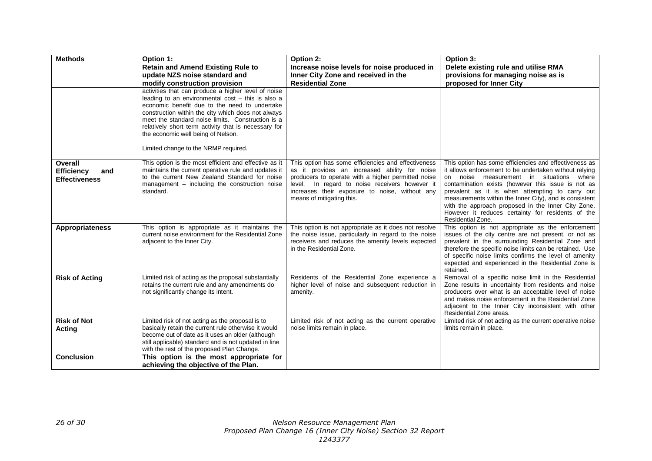| <b>Methods</b>                                              | Option 1:                                                                                                                                                                                                                                                                                                                                                                                                  | Option 2:                                                                                                                                                                                                                                                                                   | Option 3:                                                                                                                                                                                                                                                                                                                                                                                                                                                          |
|-------------------------------------------------------------|------------------------------------------------------------------------------------------------------------------------------------------------------------------------------------------------------------------------------------------------------------------------------------------------------------------------------------------------------------------------------------------------------------|---------------------------------------------------------------------------------------------------------------------------------------------------------------------------------------------------------------------------------------------------------------------------------------------|--------------------------------------------------------------------------------------------------------------------------------------------------------------------------------------------------------------------------------------------------------------------------------------------------------------------------------------------------------------------------------------------------------------------------------------------------------------------|
|                                                             | <b>Retain and Amend Existing Rule to</b><br>update NZS noise standard and                                                                                                                                                                                                                                                                                                                                  | Increase noise levels for noise produced in<br>Inner City Zone and received in the                                                                                                                                                                                                          | Delete existing rule and utilise RMA<br>provisions for managing noise as is                                                                                                                                                                                                                                                                                                                                                                                        |
|                                                             | modify construction provision                                                                                                                                                                                                                                                                                                                                                                              | <b>Residential Zone</b>                                                                                                                                                                                                                                                                     | proposed for Inner City                                                                                                                                                                                                                                                                                                                                                                                                                                            |
|                                                             | activities that can produce a higher level of noise<br>leading to an environmental cost - this is also a<br>economic benefit due to the need to undertake<br>construction within the city which does not always<br>meet the standard noise limits. Construction is a<br>relatively short term activity that is necessary for<br>the economic well being of Nelson.<br>Limited change to the NRMP required. |                                                                                                                                                                                                                                                                                             |                                                                                                                                                                                                                                                                                                                                                                                                                                                                    |
| Overall<br><b>Efficiency</b><br>and<br><b>Effectiveness</b> | This option is the most efficient and effective as it<br>maintains the current operative rule and updates it<br>to the current New Zealand Standard for noise<br>management - including the construction noise<br>standard.                                                                                                                                                                                | This option has some efficiencies and effectiveness<br>as it provides an increased ability for noise<br>producers to operate with a higher permitted noise<br>level. In regard to noise receivers however it<br>increases their exposure to noise, without any<br>means of mitigating this. | This option has some efficiencies and effectiveness as<br>it allows enforcement to be undertaken without relying<br>noise measurement in situations where<br>on<br>contamination exists (however this issue is not as<br>prevalent as it is when attempting to carry out<br>measurements within the Inner City), and is consistent<br>with the approach proposed in the Inner City Zone.<br>However it reduces certainty for residents of the<br>Residential Zone. |
| <b>Appropriateness</b>                                      | This option is appropriate as it maintains the<br>current noise environment for the Residential Zone<br>adjacent to the Inner City.                                                                                                                                                                                                                                                                        | This option is not appropriate as it does not resolve<br>the noise issue, particularly in regard to the noise<br>receivers and reduces the amenity levels expected<br>in the Residential Zone.                                                                                              | This option is not appropriate as the enforcement<br>issues of the city centre are not present, or not as<br>prevalent in the surrounding Residential Zone and<br>therefore the specific noise limits can be retained. Use<br>of specific noise limits confirms the level of amenity<br>expected and experienced in the Residential Zone is<br>retained.                                                                                                           |
| <b>Risk of Acting</b>                                       | Limited risk of acting as the proposal substantially<br>retains the current rule and any amendments do<br>not significantly change its intent.                                                                                                                                                                                                                                                             | Residents of the Residential Zone experience a<br>higher level of noise and subsequent reduction in<br>amenity.                                                                                                                                                                             | Removal of a specific noise limit in the Residential<br>Zone results in uncertainty from residents and noise<br>producers over what is an acceptable level of noise<br>and makes noise enforcement in the Residential Zone<br>adjacent to the Inner City inconsistent with other<br>Residential Zone areas.                                                                                                                                                        |
| <b>Risk of Not</b><br>Acting                                | Limited risk of not acting as the proposal is to<br>basically retain the current rule otherwise it would<br>become out of date as it uses an older (although<br>still applicable) standard and is not updated in line<br>with the rest of the proposed Plan Change.                                                                                                                                        | Limited risk of not acting as the current operative<br>noise limits remain in place.                                                                                                                                                                                                        | Limited risk of not acting as the current operative noise<br>limits remain in place.                                                                                                                                                                                                                                                                                                                                                                               |
| <b>Conclusion</b>                                           | This option is the most appropriate for<br>achieving the objective of the Plan.                                                                                                                                                                                                                                                                                                                            |                                                                                                                                                                                                                                                                                             |                                                                                                                                                                                                                                                                                                                                                                                                                                                                    |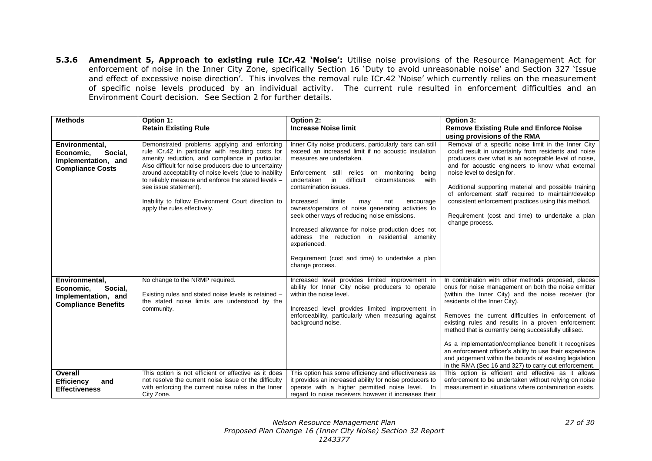**5.3.6 Amendment 5, Approach to existing rule ICr.42 'Noise':** Utilise noise provisions of the Resource Management Act for enforcement of noise in the Inner City Zone, specifically Section 16 'Duty to avoid unreasonable noise' and Section 327 'Issue and effect of excessive noise direction'. This involves the removal rule ICr.42 'Noise' which currently relies on the measurement of specific noise levels produced by an individual activity. The current rule resulted in enforcement difficulties and an Environment Court decision. See Section 2 for further details.

| <b>Methods</b>                                                                              | Option 1:<br><b>Retain Existing Rule</b>                                                                                                                                                                                                                                                                                                                                                                                                        | Option 2:<br><b>Increase Noise limit</b>                                                                                                                                                                                                                                                                                                                                                                                                                                                                                                                                                                                            | Option 3:<br><b>Remove Existing Rule and Enforce Noise</b>                                                                                                                                                                                                                                                                                                                                                                                                                                                                                                                                                     |
|---------------------------------------------------------------------------------------------|-------------------------------------------------------------------------------------------------------------------------------------------------------------------------------------------------------------------------------------------------------------------------------------------------------------------------------------------------------------------------------------------------------------------------------------------------|-------------------------------------------------------------------------------------------------------------------------------------------------------------------------------------------------------------------------------------------------------------------------------------------------------------------------------------------------------------------------------------------------------------------------------------------------------------------------------------------------------------------------------------------------------------------------------------------------------------------------------------|----------------------------------------------------------------------------------------------------------------------------------------------------------------------------------------------------------------------------------------------------------------------------------------------------------------------------------------------------------------------------------------------------------------------------------------------------------------------------------------------------------------------------------------------------------------------------------------------------------------|
| Environmental,<br>Social,<br>Economic,<br>Implementation, and<br><b>Compliance Costs</b>    | Demonstrated problems applying and enforcing<br>rule ICr.42 in particular with resulting costs for<br>amenity reduction, and compliance in particular.<br>Also difficult for noise producers due to uncertainty<br>around acceptability of noise levels (due to inability<br>to reliably measure and enforce the stated levels -<br>see issue statement).<br>Inability to follow Environment Court direction to<br>apply the rules effectively. | Inner City noise producers, particularly bars can still<br>exceed an increased limit if no acoustic insulation<br>measures are undertaken.<br>Enforcement still relies on monitoring<br>being<br>difficult<br>circumstances<br>with<br>undertaken<br>in<br>contamination issues.<br>Increased<br>limits<br>may<br>not<br>encourage<br>owners/operators of noise generating activities to<br>seek other ways of reducing noise emissions.<br>Increased allowance for noise production does not<br>address the reduction in residential amenity<br>experienced.<br>Requirement (cost and time) to undertake a plan<br>change process. | using provisions of the RMA<br>Removal of a specific noise limit in the Inner City<br>could result in uncertainty from residents and noise<br>producers over what is an acceptable level of noise,<br>and for acoustic engineers to know what external<br>noise level to design for.<br>Additional supporting material and possible training<br>of enforcement staff required to maintain/develop<br>consistent enforcement practices using this method.<br>Requirement (cost and time) to undertake a plan<br>change process.                                                                                 |
| Environmental,<br>Social,<br>Economic,<br>Implementation, and<br><b>Compliance Benefits</b> | No change to the NRMP required.<br>Existing rules and stated noise levels is retained -<br>the stated noise limits are understood by the<br>community.                                                                                                                                                                                                                                                                                          | Increased level provides limited improvement in<br>ability for Inner City noise producers to operate<br>within the noise level.<br>Increased level provides limited improvement in<br>enforceability, particularly when measuring against<br>background noise.                                                                                                                                                                                                                                                                                                                                                                      | In combination with other methods proposed, places<br>onus for noise management on both the noise emitter<br>(within the Inner City) and the noise receiver (for<br>residents of the Inner City).<br>Removes the current difficulties in enforcement of<br>existing rules and results in a proven enforcement<br>method that is currently being successfully utilised.<br>As a implementation/compliance benefit it recognises<br>an enforcement officer's ability to use their experience<br>and judgement within the bounds of existing legislation<br>in the RMA (Sec 16 and 327) to carry out enforcement. |
| Overall<br><b>Efficiency</b><br>and<br><b>Effectiveness</b>                                 | This option is not efficient or effective as it does<br>not resolve the current noise issue or the difficulty<br>with enforcing the current noise rules in the Inner<br>City Zone.                                                                                                                                                                                                                                                              | This option has some efficiency and effectiveness as<br>it provides an increased ability for noise producers to<br>operate with a higher permitted noise level. In<br>regard to noise receivers however it increases their                                                                                                                                                                                                                                                                                                                                                                                                          | This option is efficient and effective as it allows<br>enforcement to be undertaken without relying on noise<br>measurement in situations where contamination exists.                                                                                                                                                                                                                                                                                                                                                                                                                                          |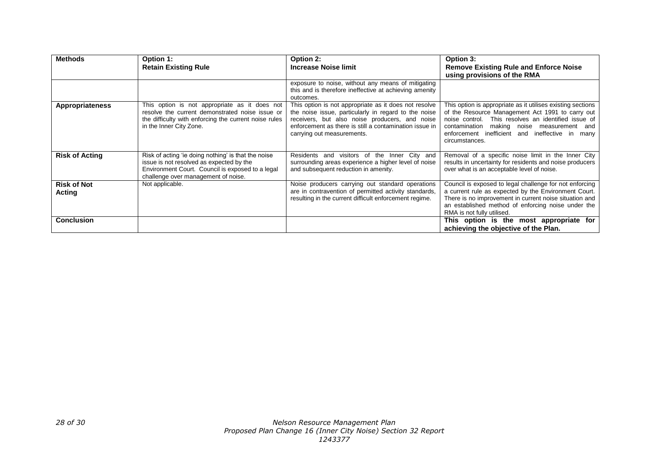| <b>Methods</b>               | Option 1:                                                                                                                                                                                  | Option 2:                                                                                                                                                                                                                                               | Option 3:                                                                                                                                                                                                                                                                                    |
|------------------------------|--------------------------------------------------------------------------------------------------------------------------------------------------------------------------------------------|---------------------------------------------------------------------------------------------------------------------------------------------------------------------------------------------------------------------------------------------------------|----------------------------------------------------------------------------------------------------------------------------------------------------------------------------------------------------------------------------------------------------------------------------------------------|
|                              | <b>Retain Existing Rule</b>                                                                                                                                                                | <b>Increase Noise limit</b>                                                                                                                                                                                                                             | <b>Remove Existing Rule and Enforce Noise</b><br>using provisions of the RMA                                                                                                                                                                                                                 |
|                              |                                                                                                                                                                                            | exposure to noise, without any means of mitigating<br>this and is therefore ineffective at achieving amenity<br>outcomes.                                                                                                                               |                                                                                                                                                                                                                                                                                              |
| <b>Appropriateness</b>       | This option is not appropriate as it does not<br>resolve the current demonstrated noise issue or<br>the difficulty with enforcing the current noise rules<br>in the Inner City Zone.       | This option is not appropriate as it does not resolve<br>the noise issue, particularly in regard to the noise<br>receivers, but also noise producers, and noise<br>enforcement as there is still a contamination issue in<br>carrying out measurements. | This option is appropriate as it utilises existing sections<br>of the Resource Management Act 1991 to carry out<br>noise control. This resolves an identified issue of<br>making noise measurement and<br>contamination<br>enforcement inefficient and ineffective in many<br>circumstances. |
| <b>Risk of Acting</b>        | Risk of acting 'ie doing nothing' is that the noise<br>issue is not resolved as expected by the<br>Environment Court. Council is exposed to a legal<br>challenge over management of noise. | Residents and visitors of the Inner City and<br>surrounding areas experience a higher level of noise<br>and subsequent reduction in amenity.                                                                                                            | Removal of a specific noise limit in the Inner City<br>results in uncertainty for residents and noise producers<br>over what is an acceptable level of noise.                                                                                                                                |
| <b>Risk of Not</b><br>Acting | Not applicable.                                                                                                                                                                            | Noise producers carrying out standard operations<br>are in contravention of permitted activity standards,<br>resulting in the current difficult enforcement regime.                                                                                     | Council is exposed to legal challenge for not enforcing<br>a current rule as expected by the Environment Court.<br>There is no improvement in current noise situation and<br>an established method of enforcing noise under the<br>RMA is not fully utilised.                                |
| <b>Conclusion</b>            |                                                                                                                                                                                            |                                                                                                                                                                                                                                                         | This option is the most appropriate for<br>achieving the objective of the Plan.                                                                                                                                                                                                              |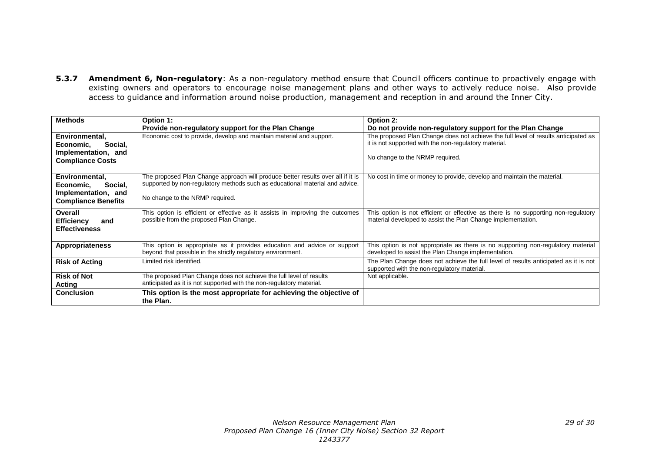**5.3.7 Amendment 6, Non-regulatory**: As a non-regulatory method ensure that Council officers continue to proactively engage with existing owners and operators to encourage noise management plans and other ways to actively reduce noise. Also provide access to guidance and information around noise production, management and reception in and around the Inner City.

| <b>Methods</b>                                    | Option 1:                                                                                                                                                       | Option 2:                                                                           |
|---------------------------------------------------|-----------------------------------------------------------------------------------------------------------------------------------------------------------------|-------------------------------------------------------------------------------------|
|                                                   | Provide non-regulatory support for the Plan Change                                                                                                              | Do not provide non-regulatory support for the Plan Change                           |
| Environmental,                                    | Economic cost to provide, develop and maintain material and support.                                                                                            | The proposed Plan Change does not achieve the full level of results anticipated as  |
| Economic,<br>Social,                              |                                                                                                                                                                 | it is not supported with the non-regulatory material.                               |
| Implementation, and                               |                                                                                                                                                                 | No change to the NRMP required.                                                     |
| <b>Compliance Costs</b>                           |                                                                                                                                                                 |                                                                                     |
|                                                   |                                                                                                                                                                 |                                                                                     |
| Environmental.                                    | The proposed Plan Change approach will produce better results over all if it is<br>supported by non-regulatory methods such as educational material and advice. | No cost in time or money to provide, develop and maintain the material.             |
| Economic,<br>Social,                              |                                                                                                                                                                 |                                                                                     |
| Implementation, and<br><b>Compliance Benefits</b> | No change to the NRMP required.                                                                                                                                 |                                                                                     |
|                                                   |                                                                                                                                                                 |                                                                                     |
| <b>Overall</b>                                    | This option is efficient or effective as it assists in improving the outcomes                                                                                   | This option is not efficient or effective as there is no supporting non-regulatory  |
| <b>Efficiency</b><br>and                          | possible from the proposed Plan Change.                                                                                                                         | material developed to assist the Plan Change implementation.                        |
| <b>Effectiveness</b>                              |                                                                                                                                                                 |                                                                                     |
| <b>Appropriateness</b>                            | This option is appropriate as it provides education and advice or support                                                                                       | This option is not appropriate as there is no supporting non-regulatory material    |
|                                                   | beyond that possible in the strictly regulatory environment.                                                                                                    | developed to assist the Plan Change implementation.                                 |
| <b>Risk of Acting</b>                             | Limited risk identified.                                                                                                                                        | The Plan Change does not achieve the full level of results anticipated as it is not |
|                                                   |                                                                                                                                                                 | supported with the non-regulatory material.                                         |
| <b>Risk of Not</b>                                | The proposed Plan Change does not achieve the full level of results                                                                                             | Not applicable.                                                                     |
| Acting                                            | anticipated as it is not supported with the non-regulatory material.                                                                                            |                                                                                     |
| <b>Conclusion</b>                                 | This option is the most appropriate for achieving the objective of<br>the Plan.                                                                                 |                                                                                     |